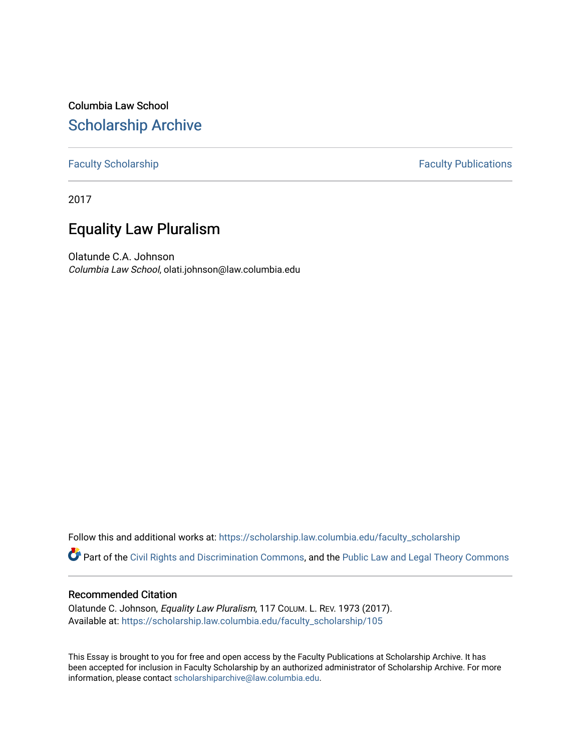Columbia Law School [Scholarship Archive](https://scholarship.law.columbia.edu/) 

## [Faculty Scholarship](https://scholarship.law.columbia.edu/faculty_scholarship) **Faculty Publications**

2017

# Equality Law Pluralism

Olatunde C.A. Johnson Columbia Law School, olati.johnson@law.columbia.edu

Follow this and additional works at: [https://scholarship.law.columbia.edu/faculty\\_scholarship](https://scholarship.law.columbia.edu/faculty_scholarship?utm_source=scholarship.law.columbia.edu%2Ffaculty_scholarship%2F105&utm_medium=PDF&utm_campaign=PDFCoverPages)

Part of the [Civil Rights and Discrimination Commons,](http://network.bepress.com/hgg/discipline/585?utm_source=scholarship.law.columbia.edu%2Ffaculty_scholarship%2F105&utm_medium=PDF&utm_campaign=PDFCoverPages) and the [Public Law and Legal Theory Commons](http://network.bepress.com/hgg/discipline/871?utm_source=scholarship.law.columbia.edu%2Ffaculty_scholarship%2F105&utm_medium=PDF&utm_campaign=PDFCoverPages) 

## Recommended Citation

Olatunde C. Johnson, Equality Law Pluralism, 117 COLUM. L. REV. 1973 (2017). Available at: [https://scholarship.law.columbia.edu/faculty\\_scholarship/105](https://scholarship.law.columbia.edu/faculty_scholarship/105?utm_source=scholarship.law.columbia.edu%2Ffaculty_scholarship%2F105&utm_medium=PDF&utm_campaign=PDFCoverPages) 

This Essay is brought to you for free and open access by the Faculty Publications at Scholarship Archive. It has been accepted for inclusion in Faculty Scholarship by an authorized administrator of Scholarship Archive. For more information, please contact [scholarshiparchive@law.columbia.edu.](mailto:scholarshiparchive@law.columbia.edu)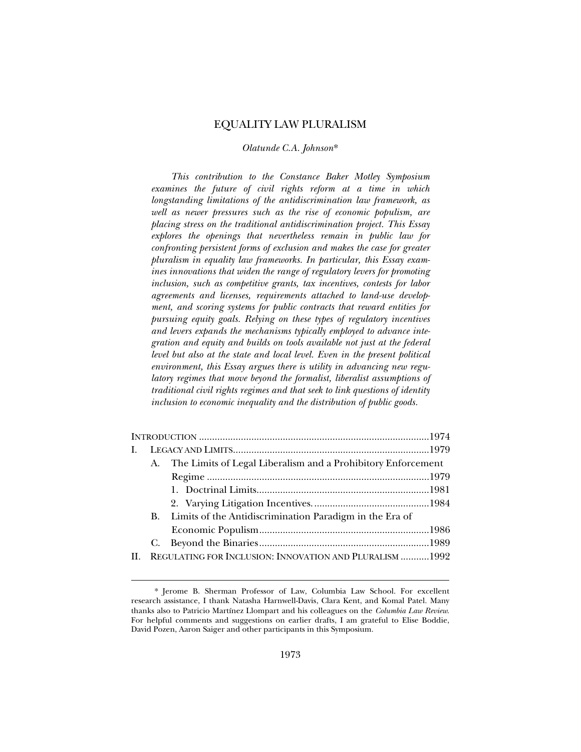## EQUALITY LAW PLURALISM

## *Olatunde C.A. Johnson*\*

*This contribution to the Constance Baker Motley Symposium examines the future of civil rights reform at a time in which longstanding limitations of the antidiscrimination law framework, as well as newer pressures such as the rise of economic populism, are placing stress on the traditional antidiscrimination project. This Essay explores the openings that nevertheless remain in public law for confronting persistent forms of exclusion and makes the case for greater pluralism in equality law frameworks. In particular, this Essay examines innovations that widen the range of regulatory levers for promoting inclusion, such as competitive grants, tax incentives, contests for labor agreements and licenses, requirements attached to land-use development, and scoring systems for public contracts that reward entities for pursuing equity goals. Relying on these types of regulatory incentives and levers expands the mechanisms typically employed to advance integration and equity and builds on tools available not just at the federal level but also at the state and local level. Even in the present political environment, this Essay argues there is utility in advancing new regulatory regimes that move beyond the formalist, liberalist assumptions of traditional civil rights regimes and that seek to link questions of identity inclusion to economic inequality and the distribution of public goods.* 

| $\mathbf{I}$ .                                                          |  |
|-------------------------------------------------------------------------|--|
|                                                                         |  |
| A. The Limits of Legal Liberalism and a Prohibitory Enforcement         |  |
|                                                                         |  |
|                                                                         |  |
|                                                                         |  |
| B. Limits of the Antidiscrimination Paradigm in the Era of              |  |
|                                                                         |  |
|                                                                         |  |
| REGULATING FOR INCLUSION: INNOVATION AND PLURALISM 1992<br>$\mathbf{H}$ |  |

<sup>\*</sup> Jerome B. Sherman Professor of Law, Columbia Law School. For excellent research assistance, I thank Natasha Harnwell-Davis, Clara Kent, and Komal Patel. Many thanks also to Patricio Martínez Llompart and his colleagues on the *Columbia Law Review*. For helpful comments and suggestions on earlier drafts, I am grateful to Elise Boddie, David Pozen, Aaron Saiger and other participants in this Symposium.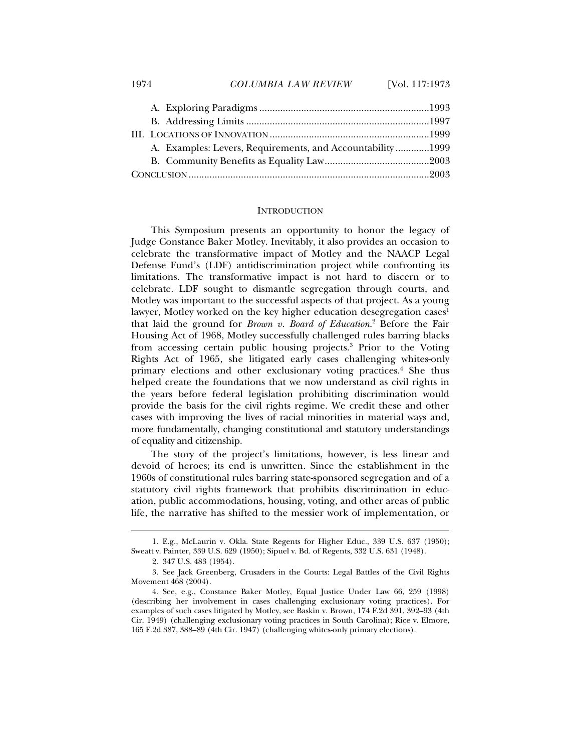|  | A. Examples: Levers, Requirements, and Accountability1999 |  |
|--|-----------------------------------------------------------|--|
|  |                                                           |  |
|  |                                                           |  |

## **INTRODUCTION**

This Symposium presents an opportunity to honor the legacy of Judge Constance Baker Motley. Inevitably, it also provides an occasion to celebrate the transformative impact of Motley and the NAACP Legal Defense Fund's (LDF) antidiscrimination project while confronting its limitations. The transformative impact is not hard to discern or to celebrate. LDF sought to dismantle segregation through courts, and Motley was important to the successful aspects of that project. As a young lawyer, Motley worked on the key higher education desegregation cases<sup>1</sup> that laid the ground for *Brown v. Board of Education*. 2 Before the Fair Housing Act of 1968, Motley successfully challenged rules barring blacks from accessing certain public housing projects.<sup>3</sup> Prior to the Voting Rights Act of 1965, she litigated early cases challenging whites-only primary elections and other exclusionary voting practices.<sup>4</sup> She thus helped create the foundations that we now understand as civil rights in the years before federal legislation prohibiting discrimination would provide the basis for the civil rights regime. We credit these and other cases with improving the lives of racial minorities in material ways and, more fundamentally, changing constitutional and statutory understandings of equality and citizenship.

The story of the project's limitations, however, is less linear and devoid of heroes; its end is unwritten. Since the establishment in the 1960s of constitutional rules barring state-sponsored segregation and of a statutory civil rights framework that prohibits discrimination in education, public accommodations, housing, voting, and other areas of public life, the narrative has shifted to the messier work of implementation, or

 <sup>1.</sup> E.g., McLaurin v. Okla. State Regents for Higher Educ., 339 U.S. 637 (1950); Sweatt v. Painter, 339 U.S. 629 (1950); Sipuel v. Bd. of Regents, 332 U.S. 631 (1948).

 <sup>2. 347</sup> U.S. 483 (1954).

 <sup>3.</sup> See Jack Greenberg, Crusaders in the Courts: Legal Battles of the Civil Rights Movement 468 (2004).

 <sup>4.</sup> See, e.g., Constance Baker Motley, Equal Justice Under Law 66, 259 (1998) (describing her involvement in cases challenging exclusionary voting practices). For examples of such cases litigated by Motley, see Baskin v. Brown, 174 F.2d 391, 392–93 (4th Cir. 1949) (challenging exclusionary voting practices in South Carolina); Rice v. Elmore, 165 F.2d 387, 388–89 (4th Cir. 1947) (challenging whites-only primary elections).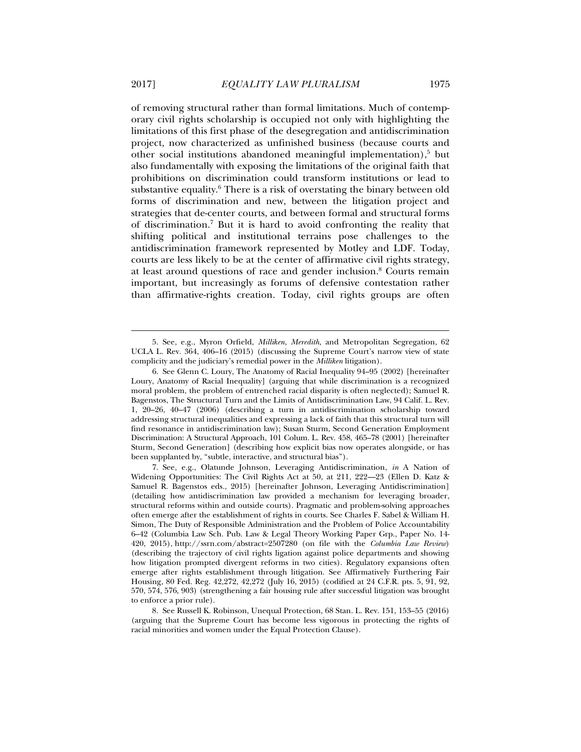of removing structural rather than formal limitations. Much of contemporary civil rights scholarship is occupied not only with highlighting the limitations of this first phase of the desegregation and antidiscrimination project, now characterized as unfinished business (because courts and other social institutions abandoned meaningful implementation),<sup>5</sup> but also fundamentally with exposing the limitations of the original faith that prohibitions on discrimination could transform institutions or lead to substantive equality.<sup>6</sup> There is a risk of overstating the binary between old forms of discrimination and new, between the litigation project and strategies that de-center courts, and between formal and structural forms of discrimination.7 But it is hard to avoid confronting the reality that shifting political and institutional terrains pose challenges to the antidiscrimination framework represented by Motley and LDF. Today, courts are less likely to be at the center of affirmative civil rights strategy, at least around questions of race and gender inclusion.<sup>8</sup> Courts remain important, but increasingly as forums of defensive contestation rather than affirmative-rights creation. Today, civil rights groups are often

 <sup>5.</sup> See, e.g., Myron Orfield, *Milliken*, *Meredith,* and Metropolitan Segregation, 62 UCLA L. Rev. 364, 406–16 (2015) (discussing the Supreme Court's narrow view of state complicity and the judiciary's remedial power in the *Milliken* litigation).

 <sup>6.</sup> See Glenn C. Loury, The Anatomy of Racial Inequality 94–95 (2002) [hereinafter Loury, Anatomy of Racial Inequality] (arguing that while discrimination is a recognized moral problem, the problem of entrenched racial disparity is often neglected); Samuel R. Bagenstos, The Structural Turn and the Limits of Antidiscrimination Law, 94 Calif. L. Rev. 1, 20–26, 40–47 (2006) (describing a turn in antidiscrimination scholarship toward addressing structural inequalities and expressing a lack of faith that this structural turn will find resonance in antidiscrimination law); Susan Sturm, Second Generation Employment Discrimination: A Structural Approach, 101 Colum. L. Rev. 458, 465–78 (2001) [hereinafter Sturm, Second Generation] (describing how explicit bias now operates alongside, or has been supplanted by, "subtle, interactive, and structural bias").

 <sup>7.</sup> See, e.g., Olatunde Johnson, Leveraging Antidiscrimination, *in* A Nation of Widening Opportunities: The Civil Rights Act at 50, at 211, 222—23 (Ellen D. Katz & Samuel R. Bagenstos eds., 2015) [hereinafter Johnson, Leveraging Antidiscrimination] (detailing how antidiscrimination law provided a mechanism for leveraging broader, structural reforms within and outside courts). Pragmatic and problem-solving approaches often emerge after the establishment of rights in courts. See Charles F. Sabel & William H. Simon, The Duty of Responsible Administration and the Problem of Police Accountability 6–42 (Columbia Law Sch. Pub. Law & Legal Theory Working Paper Grp., Paper No. 14- 420, 2015), http://ssrn.com/abstract=2507280 (on file with the *Columbia Law Review*) (describing the trajectory of civil rights ligation against police departments and showing how litigation prompted divergent reforms in two cities). Regulatory expansions often emerge after rights establishment through litigation. See Affirmatively Furthering Fair Housing, 80 Fed. Reg. 42,272, 42,272 (July 16, 2015) (codified at 24 C.F.R. pts. 5, 91, 92, 570, 574, 576, 903) (strengthening a fair housing rule after successful litigation was brought to enforce a prior rule).

 <sup>8.</sup> See Russell K. Robinson, Unequal Protection, 68 Stan. L. Rev. 151, 153–55 (2016) (arguing that the Supreme Court has become less vigorous in protecting the rights of racial minorities and women under the Equal Protection Clause).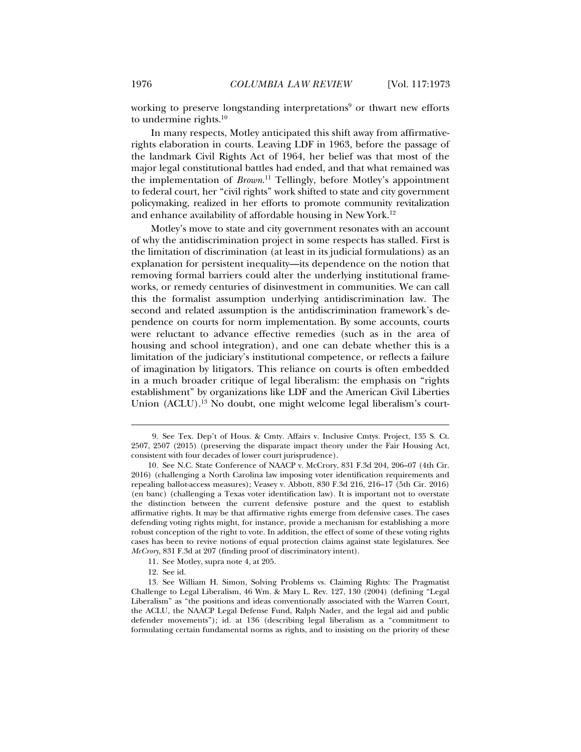working to preserve longstanding interpretations<sup>9</sup> or thwart new efforts to undermine rights.10

In many respects, Motley anticipated this shift away from affirmativerights elaboration in courts. Leaving LDF in 1963, before the passage of the landmark Civil Rights Act of 1964, her belief was that most of the major legal constitutional battles had ended, and that what remained was the implementation of *Brown*. 11 Tellingly, before Motley's appointment to federal court, her "civil rights" work shifted to state and city government policymaking, realized in her efforts to promote community revitalization and enhance availability of affordable housing in New York.12

Motley's move to state and city government resonates with an account of why the antidiscrimination project in some respects has stalled. First is the limitation of discrimination (at least in its judicial formulations) as an explanation for persistent inequality—its dependence on the notion that removing formal barriers could alter the underlying institutional frameworks, or remedy centuries of disinvestment in communities. We can call this the formalist assumption underlying antidiscrimination law. The second and related assumption is the antidiscrimination framework's dependence on courts for norm implementation. By some accounts, courts were reluctant to advance effective remedies (such as in the area of housing and school integration), and one can debate whether this is a limitation of the judiciary's institutional competence, or reflects a failure of imagination by litigators. This reliance on courts is often embedded in a much broader critique of legal liberalism: the emphasis on "rights establishment" by organizations like LDF and the American Civil Liberties Union (ACLU).<sup>13</sup> No doubt, one might welcome legal liberalism's court-

11. See Motley, supra note 4, at 205.

12. See id.

 <sup>9.</sup> See Tex. Dep't of Hous. & Cmty. Affairs v. Inclusive Cmtys. Project, 135 S. Ct. 2507, 2507 (2015) (preserving the disparate impact theory under the Fair Housing Act, consistent with four decades of lower court jurisprudence).

 <sup>10.</sup> See N.C. State Conference of NAACP v. McCrory, 831 F.3d 204, 206–07 (4th Cir. 2016) (challenging a North Carolina law imposing voter identification requirements and repealing ballot-access measures); Veasey v. Abbott, 830 F.3d 216, 216–17 (5th Cir. 2016) (en banc) (challenging a Texas voter identification law). It is important not to overstate the distinction between the current defensive posture and the quest to establish affirmative rights. It may be that affirmative rights emerge from defensive cases. The cases defending voting rights might, for instance, provide a mechanism for establishing a more robust conception of the right to vote. In addition, the effect of some of these voting rights cases has been to revive notions of equal protection claims against state legislatures. See *McCrory*, 831 F.3d at 207 (finding proof of discriminatory intent).

 <sup>13.</sup> See William H. Simon, Solving Problems vs. Claiming Rights: The Pragmatist Challenge to Legal Liberalism, 46 Wm. & Mary L. Rev. 127, 130 (2004) (defining "Legal Liberalism" as "the positions and ideas conventionally associated with the Warren Court, the ACLU, the NAACP Legal Defense Fund, Ralph Nader, and the legal aid and public defender movements"); id. at 136 (describing legal liberalism as a "commitment to formulating certain fundamental norms as rights, and to insisting on the priority of these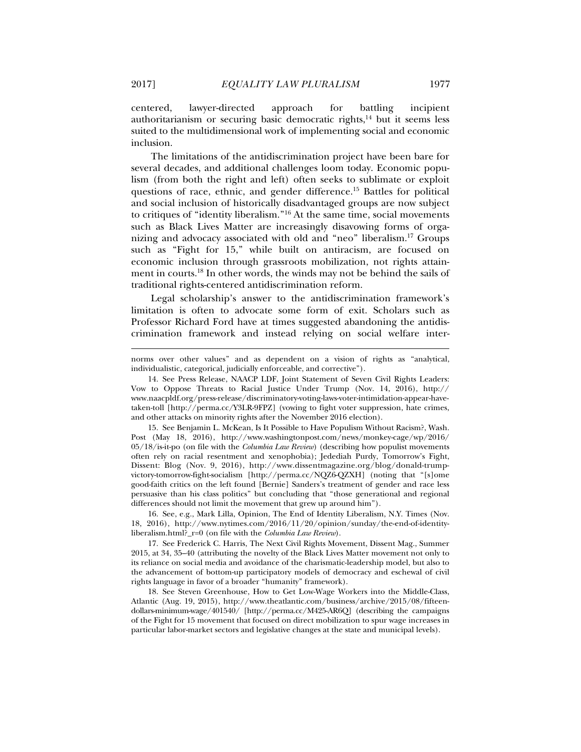centered, lawyer-directed approach for battling incipient authoritarianism or securing basic democratic rights, $14$  but it seems less suited to the multidimensional work of implementing social and economic inclusion.

The limitations of the antidiscrimination project have been bare for several decades, and additional challenges loom today. Economic populism (from both the right and left) often seeks to sublimate or exploit questions of race, ethnic, and gender difference.15 Battles for political and social inclusion of historically disadvantaged groups are now subject to critiques of "identity liberalism."16 At the same time, social movements such as Black Lives Matter are increasingly disavowing forms of organizing and advocacy associated with old and "neo" liberalism.17 Groups such as "Fight for 15," while built on antiracism, are focused on economic inclusion through grassroots mobilization, not rights attainment in courts.18 In other words, the winds may not be behind the sails of traditional rights-centered antidiscrimination reform.

Legal scholarship's answer to the antidiscrimination framework's limitation is often to advocate some form of exit. Scholars such as Professor Richard Ford have at times suggested abandoning the antidiscrimination framework and instead relying on social welfare inter-

 15. See Benjamin L. McKean, Is It Possible to Have Populism Without Racism?, Wash. Post (May 18, 2016), http://www.washingtonpost.com/news/monkey-cage/wp/2016/ 05/18/is-it-po (on file with the *Columbia Law Review*) (describing how populist movements often rely on racial resentment and xenophobia); Jedediah Purdy, Tomorrow's Fight, Dissent: Blog (Nov. 9, 2016), http://www.dissentmagazine.org/blog/donald-trumpvictory-tomorrow-fight-socialism [http://perma.cc/NQZ6-QZXH] (noting that "[s]ome good-faith critics on the left found [Bernie] Sanders's treatment of gender and race less persuasive than his class politics" but concluding that "those generational and regional differences should not limit the movement that grew up around him").

 16. See, e.g., Mark Lilla, Opinion, The End of Identity Liberalism, N.Y. Times (Nov. 18, 2016), http://www.nytimes.com/2016/11/20/opinion/sunday/the-end-of-identityliberalism.html?\_r=0 (on file with the *Columbia Law Review*).

 17. See Frederick C. Harris, The Next Civil Rights Movement, Dissent Mag., Summer 2015, at 34, 35–40 (attributing the novelty of the Black Lives Matter movement not only to its reliance on social media and avoidance of the charismatic-leadership model, but also to the advancement of bottom-up participatory models of democracy and eschewal of civil rights language in favor of a broader "humanity" framework).

 18. See Steven Greenhouse, How to Get Low-Wage Workers into the Middle-Class, Atlantic (Aug. 19, 2015), http://www.theatlantic.com/business/archive/2015/08/fifteendollars-minimum-wage/401540/ [http://perma.cc/M425-AR6Q] (describing the campaigns of the Fight for 15 movement that focused on direct mobilization to spur wage increases in particular labor-market sectors and legislative changes at the state and municipal levels).

norms over other values" and as dependent on a vision of rights as "analytical, individualistic, categorical, judicially enforceable, and corrective").

 <sup>14.</sup> See Press Release, NAACP LDF, Joint Statement of Seven Civil Rights Leaders: Vow to Oppose Threats to Racial Justice Under Trump (Nov. 14, 2016), http:// www.naacpldf.org/press-release/discriminatory-voting-laws-voter-intimidation-appear-havetaken-toll [http://perma.cc/Y3LR-9FPZ] (vowing to fight voter suppression, hate crimes, and other attacks on minority rights after the November 2016 election).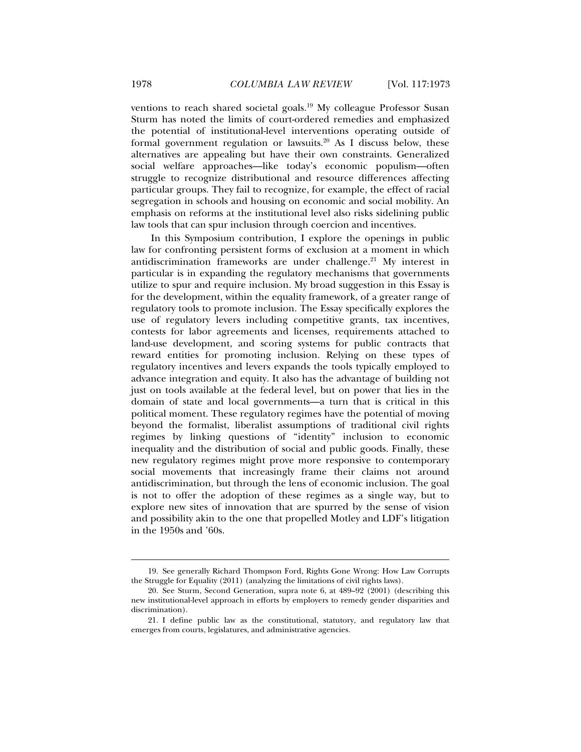ventions to reach shared societal goals.<sup>19</sup> My colleague Professor Susan Sturm has noted the limits of court-ordered remedies and emphasized the potential of institutional-level interventions operating outside of formal government regulation or lawsuits.<sup>20</sup> As I discuss below, these alternatives are appealing but have their own constraints. Generalized social welfare approaches—like today's economic populism—often struggle to recognize distributional and resource differences affecting particular groups. They fail to recognize, for example, the effect of racial segregation in schools and housing on economic and social mobility. An emphasis on reforms at the institutional level also risks sidelining public law tools that can spur inclusion through coercion and incentives.

In this Symposium contribution, I explore the openings in public law for confronting persistent forms of exclusion at a moment in which antidiscrimination frameworks are under challenge.<sup>21</sup> My interest in particular is in expanding the regulatory mechanisms that governments utilize to spur and require inclusion. My broad suggestion in this Essay is for the development, within the equality framework, of a greater range of regulatory tools to promote inclusion. The Essay specifically explores the use of regulatory levers including competitive grants, tax incentives, contests for labor agreements and licenses, requirements attached to land-use development, and scoring systems for public contracts that reward entities for promoting inclusion. Relying on these types of regulatory incentives and levers expands the tools typically employed to advance integration and equity. It also has the advantage of building not just on tools available at the federal level, but on power that lies in the domain of state and local governments—a turn that is critical in this political moment. These regulatory regimes have the potential of moving beyond the formalist, liberalist assumptions of traditional civil rights regimes by linking questions of "identity" inclusion to economic inequality and the distribution of social and public goods. Finally, these new regulatory regimes might prove more responsive to contemporary social movements that increasingly frame their claims not around antidiscrimination, but through the lens of economic inclusion. The goal is not to offer the adoption of these regimes as a single way, but to explore new sites of innovation that are spurred by the sense of vision and possibility akin to the one that propelled Motley and LDF's litigation in the 1950s and '60s.

 <sup>19.</sup> See generally Richard Thompson Ford, Rights Gone Wrong: How Law Corrupts the Struggle for Equality (2011) (analyzing the limitations of civil rights laws).

 <sup>20.</sup> See Sturm, Second Generation, supra note 6, at 489–92 (2001) (describing this new institutional-level approach in efforts by employers to remedy gender disparities and discrimination).

 <sup>21.</sup> I define public law as the constitutional, statutory, and regulatory law that emerges from courts, legislatures, and administrative agencies.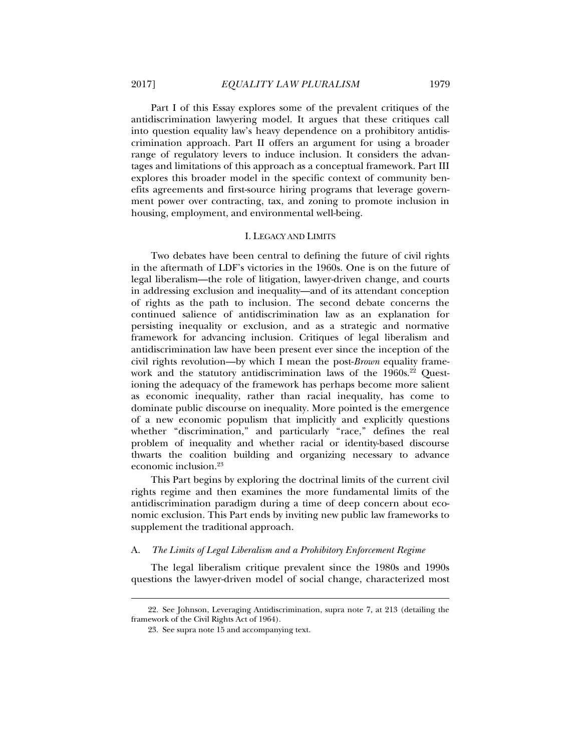Part I of this Essay explores some of the prevalent critiques of the antidiscrimination lawyering model. It argues that these critiques call into question equality law's heavy dependence on a prohibitory antidiscrimination approach. Part II offers an argument for using a broader range of regulatory levers to induce inclusion. It considers the advantages and limitations of this approach as a conceptual framework. Part III explores this broader model in the specific context of community benefits agreements and first-source hiring programs that leverage government power over contracting, tax, and zoning to promote inclusion in housing, employment, and environmental well-being.

## I. LEGACY AND LIMITS

Two debates have been central to defining the future of civil rights in the aftermath of LDF's victories in the 1960s. One is on the future of legal liberalism—the role of litigation, lawyer-driven change, and courts in addressing exclusion and inequality—and of its attendant conception of rights as the path to inclusion. The second debate concerns the continued salience of antidiscrimination law as an explanation for persisting inequality or exclusion, and as a strategic and normative framework for advancing inclusion. Critiques of legal liberalism and antidiscrimination law have been present ever since the inception of the civil rights revolution—by which I mean the post-*Brown* equality framework and the statutory antidiscrimination laws of the  $1960s<sup>22</sup>$  Questioning the adequacy of the framework has perhaps become more salient as economic inequality, rather than racial inequality, has come to dominate public discourse on inequality. More pointed is the emergence of a new economic populism that implicitly and explicitly questions whether "discrimination," and particularly "race," defines the real problem of inequality and whether racial or identity-based discourse thwarts the coalition building and organizing necessary to advance economic inclusion.23

This Part begins by exploring the doctrinal limits of the current civil rights regime and then examines the more fundamental limits of the antidiscrimination paradigm during a time of deep concern about economic exclusion. This Part ends by inviting new public law frameworks to supplement the traditional approach.

## A. *The Limits of Legal Liberalism and a Prohibitory Enforcement Regime*

The legal liberalism critique prevalent since the 1980s and 1990s questions the lawyer-driven model of social change, characterized most

 <sup>22.</sup> See Johnson, Leveraging Antidiscrimination, supra note 7, at 213 (detailing the framework of the Civil Rights Act of 1964).

 <sup>23.</sup> See supra note 15 and accompanying text.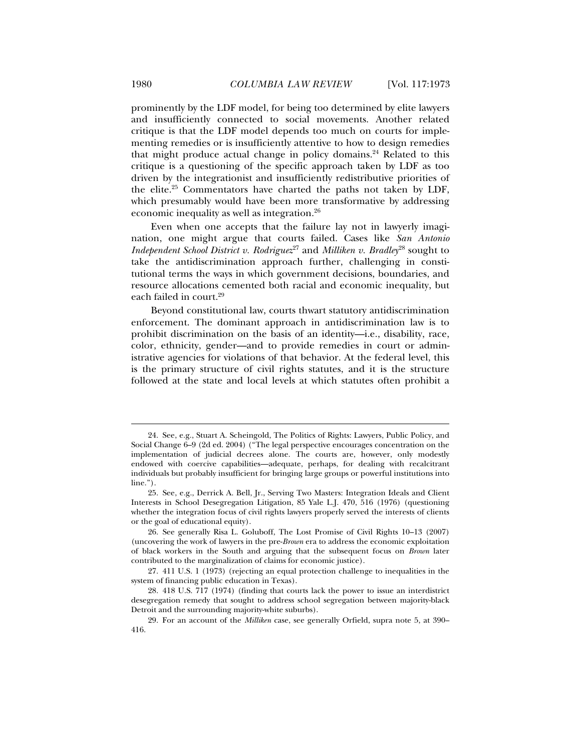prominently by the LDF model, for being too determined by elite lawyers and insufficiently connected to social movements. Another related critique is that the LDF model depends too much on courts for implementing remedies or is insufficiently attentive to how to design remedies that might produce actual change in policy domains.<sup>24</sup> Related to this critique is a questioning of the specific approach taken by LDF as too driven by the integrationist and insufficiently redistributive priorities of the elite.25 Commentators have charted the paths not taken by LDF, which presumably would have been more transformative by addressing economic inequality as well as integration.26

Even when one accepts that the failure lay not in lawyerly imagination, one might argue that courts failed. Cases like *San Antonio Independent School District v. Rodriguez*27 and *Milliken v. Bradley*28 sought to take the antidiscrimination approach further, challenging in constitutional terms the ways in which government decisions, boundaries, and resource allocations cemented both racial and economic inequality, but each failed in court.<sup>29</sup>

Beyond constitutional law, courts thwart statutory antidiscrimination enforcement. The dominant approach in antidiscrimination law is to prohibit discrimination on the basis of an identity—i.e., disability, race, color, ethnicity, gender—and to provide remedies in court or administrative agencies for violations of that behavior. At the federal level, this is the primary structure of civil rights statutes, and it is the structure followed at the state and local levels at which statutes often prohibit a

 <sup>24.</sup> See, e.g., Stuart A. Scheingold, The Politics of Rights: Lawyers, Public Policy, and Social Change 6–9 (2d ed. 2004) ("The legal perspective encourages concentration on the implementation of judicial decrees alone. The courts are, however, only modestly endowed with coercive capabilities—adequate, perhaps, for dealing with recalcitrant individuals but probably insufficient for bringing large groups or powerful institutions into line.").

 <sup>25.</sup> See, e.g., Derrick A. Bell, Jr., Serving Two Masters: Integration Ideals and Client Interests in School Desegregation Litigation, 85 Yale L.J. 470, 516 (1976) (questioning whether the integration focus of civil rights lawyers properly served the interests of clients or the goal of educational equity).

 <sup>26.</sup> See generally Risa L. Goluboff, The Lost Promise of Civil Rights 10–13 (2007) (uncovering the work of lawyers in the pre-*Brown* era to address the economic exploitation of black workers in the South and arguing that the subsequent focus on *Brown* later contributed to the marginalization of claims for economic justice).

 <sup>27. 411</sup> U.S. 1 (1973) (rejecting an equal protection challenge to inequalities in the system of financing public education in Texas).

 <sup>28. 418</sup> U.S. 717 (1974) (finding that courts lack the power to issue an interdistrict desegregation remedy that sought to address school segregation between majority-black Detroit and the surrounding majority-white suburbs).

 <sup>29.</sup> For an account of the *Milliken* case, see generally Orfield, supra note 5, at 390– 416.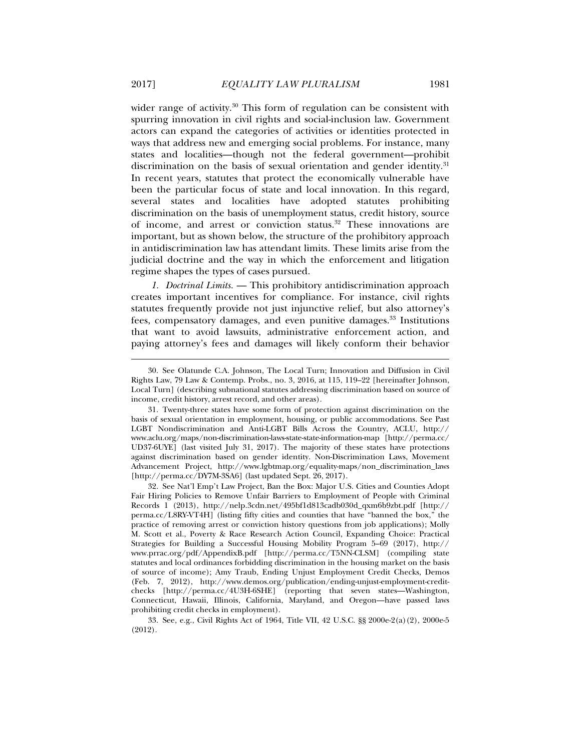wider range of activity. $30$  This form of regulation can be consistent with spurring innovation in civil rights and social-inclusion law. Government actors can expand the categories of activities or identities protected in ways that address new and emerging social problems. For instance, many states and localities—though not the federal government—prohibit discrimination on the basis of sexual orientation and gender identity.<sup>31</sup> In recent years, statutes that protect the economically vulnerable have been the particular focus of state and local innovation. In this regard, several states and localities have adopted statutes prohibiting discrimination on the basis of unemployment status, credit history, source of income, and arrest or conviction status.<sup>32</sup> These innovations are important, but as shown below, the structure of the prohibitory approach in antidiscrimination law has attendant limits. These limits arise from the judicial doctrine and the way in which the enforcement and litigation regime shapes the types of cases pursued.

*1. Doctrinal Limits.* — This prohibitory antidiscrimination approach creates important incentives for compliance. For instance, civil rights statutes frequently provide not just injunctive relief, but also attorney's fees, compensatory damages, and even punitive damages.33 Institutions that want to avoid lawsuits, administrative enforcement action, and paying attorney's fees and damages will likely conform their behavior

 33. See, e.g., Civil Rights Act of 1964, Title VII, 42 U.S.C. §§ 2000e-2(a)(2), 2000e-5 (2012).

 <sup>30.</sup> See Olatunde C.A. Johnson, The Local Turn; Innovation and Diffusion in Civil Rights Law, 79 Law & Contemp. Probs., no. 3, 2016, at 115, 119–22 [hereinafter Johnson, Local Turn] (describing subnational statutes addressing discrimination based on source of income, credit history, arrest record, and other areas).

 <sup>31.</sup> Twenty-three states have some form of protection against discrimination on the basis of sexual orientation in employment, housing, or public accommodations. See Past LGBT Nondiscrimination and Anti-LGBT Bills Across the Country, ACLU, http:// www.aclu.org/maps/non-discrimination-laws-state-state-information-map [http://perma.cc/ UD37-6UYE] (last visited July 31, 2017). The majority of these states have protections against discrimination based on gender identity. Non-Discrimination Laws, Movement Advancement Project, http://www.lgbtmap.org/equality-maps/non\_discrimination\_laws [http://perma.cc/DY7M-3SA6] (last updated Sept. 26, 2017).

 <sup>32.</sup> See Nat'l Emp't Law Project, Ban the Box: Major U.S. Cities and Counties Adopt Fair Hiring Policies to Remove Unfair Barriers to Employment of People with Criminal Records 1 (2013), http://nelp.3cdn.net/495bf1d813cadb030d\_qxm6b9zbt.pdf [http:// perma.cc/L8RY-VT4H] (listing fifty cities and counties that have "banned the box," the practice of removing arrest or conviction history questions from job applications); Molly M. Scott et al., Poverty & Race Research Action Council, Expanding Choice: Practical Strategies for Building a Successful Housing Mobility Program 5–69 (2017), http:// www.prrac.org/pdf/AppendixB.pdf [http://perma.cc/T5NN-CLSM] (compiling state statutes and local ordinances forbidding discrimination in the housing market on the basis of source of income); Amy Traub, Ending Unjust Employment Credit Checks, Demos (Feb. 7, 2012), http://www.demos.org/publication/ending-unjust-employment-creditchecks [http://perma.cc/4U3H-6SHE] (reporting that seven states—Washington, Connecticut, Hawaii, Illinois, California, Maryland, and Oregon—have passed laws prohibiting credit checks in employment).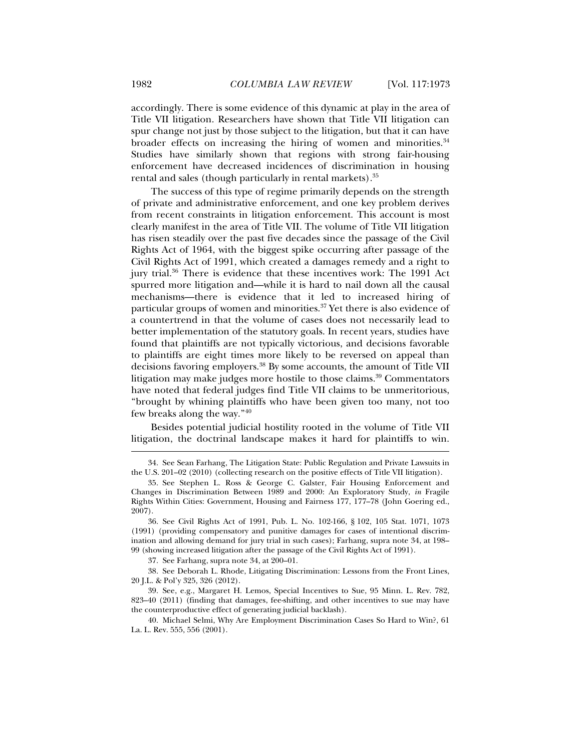accordingly. There is some evidence of this dynamic at play in the area of Title VII litigation. Researchers have shown that Title VII litigation can spur change not just by those subject to the litigation, but that it can have broader effects on increasing the hiring of women and minorities.<sup>34</sup> Studies have similarly shown that regions with strong fair-housing enforcement have decreased incidences of discrimination in housing rental and sales (though particularly in rental markets).<sup>35</sup>

The success of this type of regime primarily depends on the strength of private and administrative enforcement, and one key problem derives from recent constraints in litigation enforcement. This account is most clearly manifest in the area of Title VII. The volume of Title VII litigation has risen steadily over the past five decades since the passage of the Civil Rights Act of 1964, with the biggest spike occurring after passage of the Civil Rights Act of 1991, which created a damages remedy and a right to jury trial.36 There is evidence that these incentives work: The 1991 Act spurred more litigation and—while it is hard to nail down all the causal mechanisms—there is evidence that it led to increased hiring of particular groups of women and minorities.37 Yet there is also evidence of a countertrend in that the volume of cases does not necessarily lead to better implementation of the statutory goals. In recent years, studies have found that plaintiffs are not typically victorious, and decisions favorable to plaintiffs are eight times more likely to be reversed on appeal than decisions favoring employers.38 By some accounts, the amount of Title VII litigation may make judges more hostile to those claims.<sup>39</sup> Commentators have noted that federal judges find Title VII claims to be unmeritorious, "brought by whining plaintiffs who have been given too many, not too few breaks along the way."40

Besides potential judicial hostility rooted in the volume of Title VII litigation, the doctrinal landscape makes it hard for plaintiffs to win.

37. See Farhang, supra note 34, at 200–01.

 38. See Deborah L. Rhode, Litigating Discrimination: Lessons from the Front Lines, 20 J.L. & Pol'y 325, 326 (2012).

 39. See, e.g., Margaret H. Lemos, Special Incentives to Sue, 95 Minn. L. Rev. 782, 823–40 (2011) (finding that damages, fee-shifting, and other incentives to sue may have the counterproductive effect of generating judicial backlash).

 40. Michael Selmi, Why Are Employment Discrimination Cases So Hard to Win?, 61 La. L. Rev. 555, 556 (2001).

 <sup>34.</sup> See Sean Farhang, The Litigation State: Public Regulation and Private Lawsuits in the U.S. 201–02 (2010) (collecting research on the positive effects of Title VII litigation).

 <sup>35.</sup> See Stephen L. Ross & George C. Galster, Fair Housing Enforcement and Changes in Discrimination Between 1989 and 2000: An Exploratory Study, *in* Fragile Rights Within Cities: Government, Housing and Fairness 177, 177–78 (John Goering ed., 2007).

 <sup>36.</sup> See Civil Rights Act of 1991, Pub. L. No. 102-166, § 102, 105 Stat. 1071, 1073 (1991) (providing compensatory and punitive damages for cases of intentional discrimination and allowing demand for jury trial in such cases); Farhang, supra note 34, at 198– 99 (showing increased litigation after the passage of the Civil Rights Act of 1991).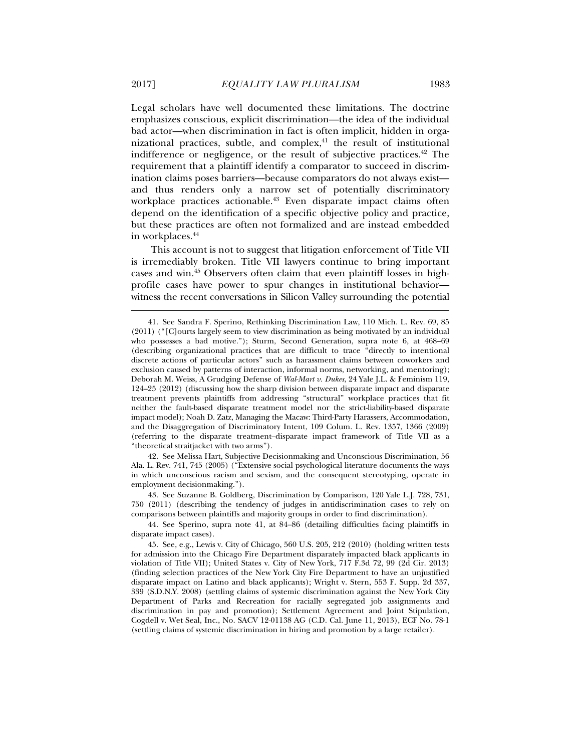Legal scholars have well documented these limitations. The doctrine emphasizes conscious, explicit discrimination—the idea of the individual bad actor—when discrimination in fact is often implicit, hidden in organizational practices, subtle, and complex, $41$  the result of institutional indifference or negligence, or the result of subjective practices.<sup>42</sup> The requirement that a plaintiff identify a comparator to succeed in discrimination claims poses barriers—because comparators do not always exist and thus renders only a narrow set of potentially discriminatory workplace practices actionable.<sup>43</sup> Even disparate impact claims often depend on the identification of a specific objective policy and practice, but these practices are often not formalized and are instead embedded in workplaces.44

This account is not to suggest that litigation enforcement of Title VII is irremediably broken. Title VII lawyers continue to bring important cases and win.45 Observers often claim that even plaintiff losses in highprofile cases have power to spur changes in institutional behavior witness the recent conversations in Silicon Valley surrounding the potential

 42. See Melissa Hart, Subjective Decisionmaking and Unconscious Discrimination, 56 Ala. L. Rev. 741, 745 (2005) ("Extensive social psychological literature documents the ways in which unconscious racism and sexism, and the consequent stereotyping, operate in employment decisionmaking.").

 43. See Suzanne B. Goldberg, Discrimination by Comparison, 120 Yale L.J. 728, 731, 750 (2011) (describing the tendency of judges in antidiscrimination cases to rely on comparisons between plaintiffs and majority groups in order to find discrimination).

 44. See Sperino, supra note 41, at 84–86 (detailing difficulties facing plaintiffs in disparate impact cases).

 <sup>41.</sup> See Sandra F. Sperino, Rethinking Discrimination Law, 110 Mich. L. Rev. 69, 85 (2011) ("[C]ourts largely seem to view discrimination as being motivated by an individual who possesses a bad motive."); Sturm, Second Generation, supra note 6, at 468–69 (describing organizational practices that are difficult to trace "directly to intentional discrete actions of particular actors" such as harassment claims between coworkers and exclusion caused by patterns of interaction, informal norms, networking, and mentoring); Deborah M. Weiss, A Grudging Defense of *Wal-Mart v. Dukes*, 24 Yale J.L. & Feminism 119, 124–25 (2012) (discussing how the sharp division between disparate impact and disparate treatment prevents plaintiffs from addressing "structural" workplace practices that fit neither the fault-based disparate treatment model nor the strict-liability-based disparate impact model); Noah D. Zatz, Managing the Macaw: Third-Party Harassers, Accommodation, and the Disaggregation of Discriminatory Intent, 109 Colum. L. Rev. 1357, 1366 (2009) (referring to the disparate treatment–disparate impact framework of Title VII as a "theoretical straitjacket with two arms").

 <sup>45.</sup> See, e.g., Lewis v. City of Chicago, 560 U.S. 205, 212 (2010) (holding written tests for admission into the Chicago Fire Department disparately impacted black applicants in violation of Title VII); United States v. City of New York, 717 F.3d 72, 99 (2d Cir. 2013) (finding selection practices of the New York City Fire Department to have an unjustified disparate impact on Latino and black applicants); Wright v. Stern, 553 F. Supp. 2d 337, 339 (S.D.N.Y. 2008) (settling claims of systemic discrimination against the New York City Department of Parks and Recreation for racially segregated job assignments and discrimination in pay and promotion); Settlement Agreement and Joint Stipulation, Cogdell v. Wet Seal, Inc., No. SACV 12-01138 AG (C.D. Cal. June 11, 2013), ECF No. 78-1 (settling claims of systemic discrimination in hiring and promotion by a large retailer).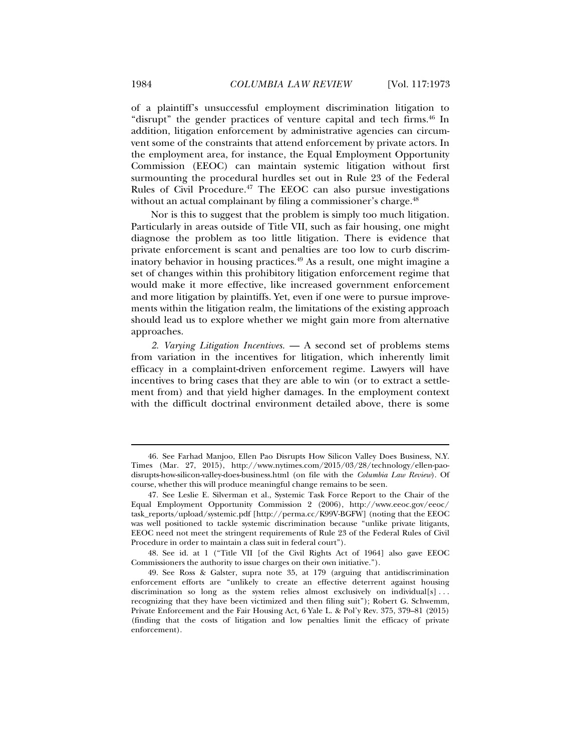of a plaintiff's unsuccessful employment discrimination litigation to "disrupt" the gender practices of venture capital and tech firms.<sup>46</sup> In addition, litigation enforcement by administrative agencies can circumvent some of the constraints that attend enforcement by private actors. In the employment area, for instance, the Equal Employment Opportunity Commission (EEOC) can maintain systemic litigation without first surmounting the procedural hurdles set out in Rule 23 of the Federal Rules of Civil Procedure. $47$  The EEOC can also pursue investigations without an actual complainant by filing a commissioner's charge.<sup>48</sup>

Nor is this to suggest that the problem is simply too much litigation. Particularly in areas outside of Title VII, such as fair housing, one might diagnose the problem as too little litigation. There is evidence that private enforcement is scant and penalties are too low to curb discriminatory behavior in housing practices.<sup>49</sup> As a result, one might imagine a set of changes within this prohibitory litigation enforcement regime that would make it more effective, like increased government enforcement and more litigation by plaintiffs. Yet, even if one were to pursue improvements within the litigation realm, the limitations of the existing approach should lead us to explore whether we might gain more from alternative approaches.

*2. Varying Litigation Incentives.* — A second set of problems stems from variation in the incentives for litigation, which inherently limit efficacy in a complaint-driven enforcement regime. Lawyers will have incentives to bring cases that they are able to win (or to extract a settlement from) and that yield higher damages. In the employment context with the difficult doctrinal environment detailed above, there is some

 <sup>46.</sup> See Farhad Manjoo, Ellen Pao Disrupts How Silicon Valley Does Business, N.Y. Times (Mar. 27, 2015), http://www.nytimes.com/2015/03/28/technology/ellen-paodisrupts-how-silicon-valley-does-business.html (on file with the *Columbia Law Review*). Of course, whether this will produce meaningful change remains to be seen.

 <sup>47.</sup> See Leslie E. Silverman et al., Systemic Task Force Report to the Chair of the Equal Employment Opportunity Commission 2 (2006), http://www.eeoc.gov/eeoc/ task\_reports/upload/systemic.pdf [http://perma.cc/K99V-BGFW] (noting that the EEOC was well positioned to tackle systemic discrimination because "unlike private litigants, EEOC need not meet the stringent requirements of Rule 23 of the Federal Rules of Civil Procedure in order to maintain a class suit in federal court").

 <sup>48.</sup> See id. at 1 ("Title VII [of the Civil Rights Act of 1964] also gave EEOC Commissioners the authority to issue charges on their own initiative.").

 <sup>49.</sup> See Ross & Galster, supra note 35, at 179 (arguing that antidiscrimination enforcement efforts are "unlikely to create an effective deterrent against housing discrimination so long as the system relies almost exclusively on individual  $[s]$ ... recognizing that they have been victimized and then filing suit"); Robert G. Schwemm, Private Enforcement and the Fair Housing Act, 6 Yale L. & Pol'y Rev. 375, 379–81 (2015) (finding that the costs of litigation and low penalties limit the efficacy of private enforcement).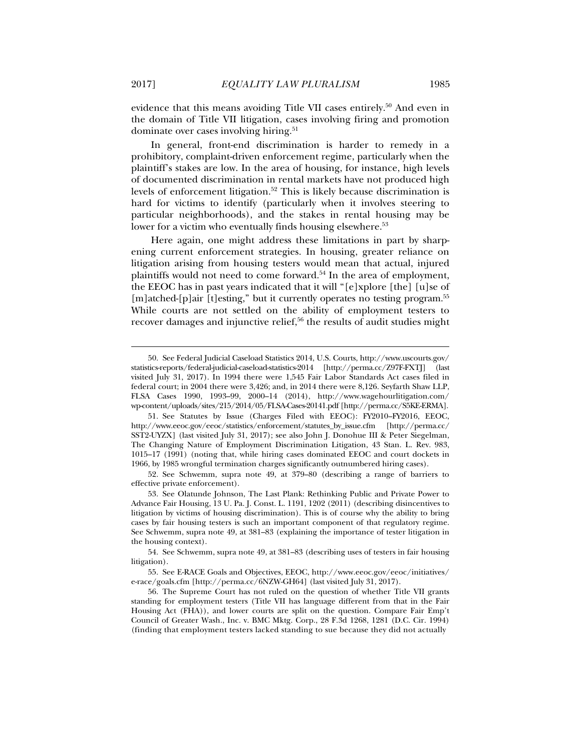evidence that this means avoiding Title VII cases entirely.<sup>50</sup> And even in the domain of Title VII litigation, cases involving firing and promotion dominate over cases involving hiring.<sup>51</sup>

In general, front-end discrimination is harder to remedy in a prohibitory, complaint-driven enforcement regime, particularly when the plaintiff's stakes are low. In the area of housing, for instance, high levels of documented discrimination in rental markets have not produced high levels of enforcement litigation.<sup>52</sup> This is likely because discrimination is hard for victims to identify (particularly when it involves steering to particular neighborhoods), and the stakes in rental housing may be lower for a victim who eventually finds housing elsewhere.<sup>53</sup>

Here again, one might address these limitations in part by sharpening current enforcement strategies. In housing, greater reliance on litigation arising from housing testers would mean that actual, injured plaintiffs would not need to come forward.<sup>54</sup> In the area of employment, the EEOC has in past years indicated that it will "[e]xplore [the] [u]se of [m]atched-[p]air [t]esting," but it currently operates no testing program.<sup>55</sup> While courts are not settled on the ability of employment testers to recover damages and injunctive relief,<sup>56</sup> the results of audit studies might

 <sup>50.</sup> See Federal Judicial Caseload Statistics 2014, U.S. Courts, http://www.uscourts.gov/ statistics-reports/federal-judicial-caseload-statistics-2014 [http://perma.cc/Z97F-FXTJ] (last visited July 31, 2017). In 1994 there were 1,545 Fair Labor Standards Act cases filed in federal court; in 2004 there were 3,426; and, in 2014 there were 8,126. Seyfarth Shaw LLP, FLSA Cases 1990, 1993–99, 2000–14 (2014), http://www.wagehourlitigation.com/ wp-content/uploads/sites/215/2014/05/FLSA-Cases-20141.pdf [http://perma.cc/S5KE-ERMA].

 <sup>51.</sup> See Statutes by Issue (Charges Filed with EEOC): FY2010–FY2016, EEOC, http://www.eeoc.gov/eeoc/statistics/enforcement/statutes\_by\_issue.cfm [http://perma.cc/ SST2-UYZX] (last visited July 31, 2017); see also John J. Donohue III & Peter Siegelman, The Changing Nature of Employment Discrimination Litigation, 43 Stan. L. Rev. 983, 1015–17 (1991) (noting that, while hiring cases dominated EEOC and court dockets in 1966, by 1985 wrongful termination charges significantly outnumbered hiring cases).

 <sup>52.</sup> See Schwemm, supra note 49, at 379–80 (describing a range of barriers to effective private enforcement).

 <sup>53.</sup> See Olatunde Johnson, The Last Plank: Rethinking Public and Private Power to Advance Fair Housing, 13 U. Pa. J. Const. L. 1191, 1202 (2011) (describing disincentives to litigation by victims of housing discrimination). This is of course why the ability to bring cases by fair housing testers is such an important component of that regulatory regime. See Schwemm, supra note 49, at 381–83 (explaining the importance of tester litigation in the housing context).

 <sup>54.</sup> See Schwemm, supra note 49, at 381–83 (describing uses of testers in fair housing litigation).

 <sup>55.</sup> See E-RACE Goals and Objectives, EEOC, http://www.eeoc.gov/eeoc/initiatives/ e-race/goals.cfm [http://perma.cc/6NZW-GH64] (last visited July 31, 2017).

 <sup>56.</sup> The Supreme Court has not ruled on the question of whether Title VII grants standing for employment testers (Title VII has language different from that in the Fair Housing Act (FHA)), and lower courts are split on the question. Compare Fair Emp't Council of Greater Wash., Inc. v. BMC Mktg. Corp., 28 F.3d 1268, 1281 (D.C. Cir. 1994) (finding that employment testers lacked standing to sue because they did not actually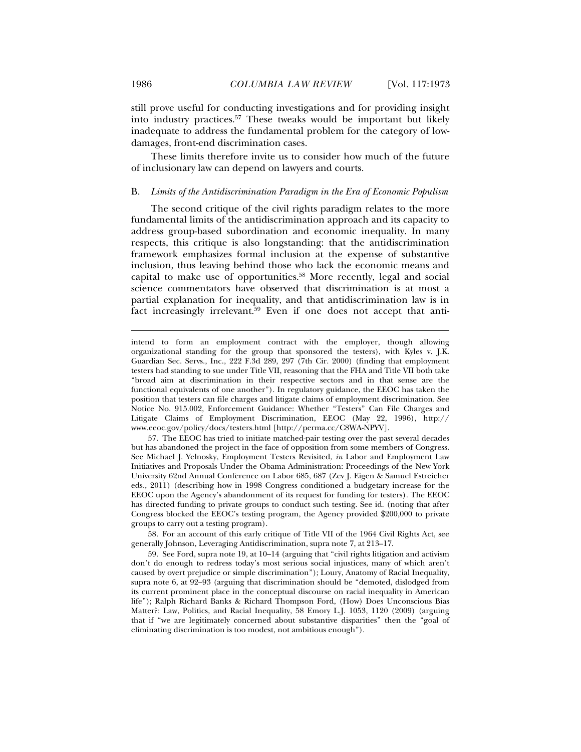still prove useful for conducting investigations and for providing insight into industry practices.57 These tweaks would be important but likely inadequate to address the fundamental problem for the category of lowdamages, front-end discrimination cases.

These limits therefore invite us to consider how much of the future of inclusionary law can depend on lawyers and courts.

## B. *Limits of the Antidiscrimination Paradigm in the Era of Economic Populism*

The second critique of the civil rights paradigm relates to the more fundamental limits of the antidiscrimination approach and its capacity to address group-based subordination and economic inequality. In many respects, this critique is also longstanding: that the antidiscrimination framework emphasizes formal inclusion at the expense of substantive inclusion, thus leaving behind those who lack the economic means and capital to make use of opportunities.58 More recently, legal and social science commentators have observed that discrimination is at most a partial explanation for inequality, and that antidiscrimination law is in fact increasingly irrelevant.<sup>59</sup> Even if one does not accept that anti-

 57. The EEOC has tried to initiate matched-pair testing over the past several decades but has abandoned the project in the face of opposition from some members of Congress. See Michael J. Yelnosky, Employment Testers Revisited, *in* Labor and Employment Law Initiatives and Proposals Under the Obama Administration: Proceedings of the New York University 62nd Annual Conference on Labor 685, 687 (Zev J. Eigen & Samuel Estreicher eds., 2011) (describing how in 1998 Congress conditioned a budgetary increase for the EEOC upon the Agency's abandonment of its request for funding for testers). The EEOC has directed funding to private groups to conduct such testing. See id. (noting that after Congress blocked the EEOC's testing program, the Agency provided \$200,000 to private groups to carry out a testing program).

 58. For an account of this early critique of Title VII of the 1964 Civil Rights Act, see generally Johnson, Leveraging Antidiscrimination, supra note 7, at 213–17.

 59. See Ford, supra note 19, at 10–14 (arguing that "civil rights litigation and activism don't do enough to redress today's most serious social injustices, many of which aren't caused by overt prejudice or simple discrimination"); Loury, Anatomy of Racial Inequality, supra note 6, at 92–93 (arguing that discrimination should be "demoted, dislodged from its current prominent place in the conceptual discourse on racial inequality in American life"); Ralph Richard Banks & Richard Thompson Ford, (How) Does Unconscious Bias Matter?: Law, Politics, and Racial Inequality, 58 Emory L.J. 1053, 1120 (2009) (arguing that if "we are legitimately concerned about substantive disparities" then the "goal of eliminating discrimination is too modest, not ambitious enough").

intend to form an employment contract with the employer, though allowing organizational standing for the group that sponsored the testers), with Kyles v. J.K. Guardian Sec. Servs., Inc., 222 F.3d 289, 297 (7th Cir. 2000) (finding that employment testers had standing to sue under Title VII, reasoning that the FHA and Title VII both take "broad aim at discrimination in their respective sectors and in that sense are the functional equivalents of one another"). In regulatory guidance, the EEOC has taken the position that testers can file charges and litigate claims of employment discrimination. See Notice No. 915.002, Enforcement Guidance: Whether "Testers" Can File Charges and Litigate Claims of Employment Discrimination, EEOC (May 22, 1996), http:// www.eeoc.gov/policy/docs/testers.html [http://perma.cc/C8WA-NPYV].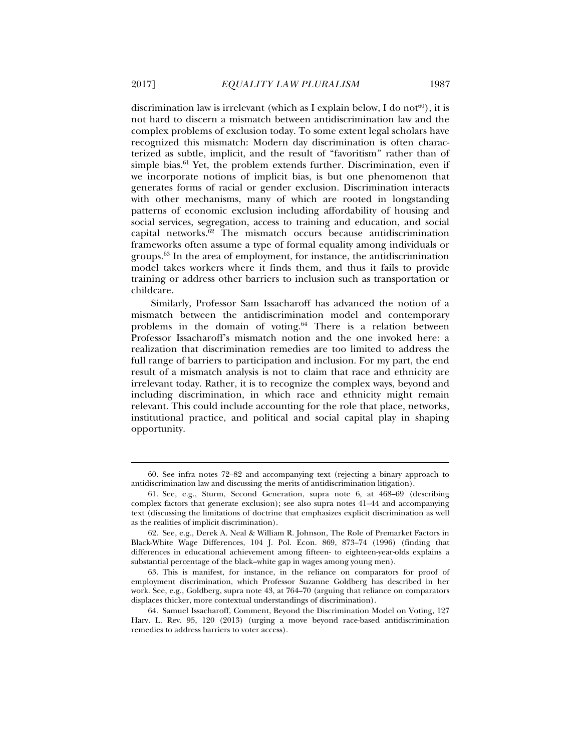discrimination law is irrelevant (which as I explain below, I do not<sup>60</sup>), it is not hard to discern a mismatch between antidiscrimination law and the complex problems of exclusion today. To some extent legal scholars have recognized this mismatch: Modern day discrimination is often characterized as subtle, implicit, and the result of "favoritism" rather than of simple bias. $61$  Yet, the problem extends further. Discrimination, even if we incorporate notions of implicit bias, is but one phenomenon that generates forms of racial or gender exclusion. Discrimination interacts with other mechanisms, many of which are rooted in longstanding patterns of economic exclusion including affordability of housing and social services, segregation, access to training and education, and social capital networks.62 The mismatch occurs because antidiscrimination frameworks often assume a type of formal equality among individuals or groups.63 In the area of employment, for instance, the antidiscrimination model takes workers where it finds them, and thus it fails to provide training or address other barriers to inclusion such as transportation or childcare.

Similarly, Professor Sam Issacharoff has advanced the notion of a mismatch between the antidiscrimination model and contemporary problems in the domain of voting.<sup>64</sup> There is a relation between Professor Issacharoff's mismatch notion and the one invoked here: a realization that discrimination remedies are too limited to address the full range of barriers to participation and inclusion. For my part, the end result of a mismatch analysis is not to claim that race and ethnicity are irrelevant today. Rather, it is to recognize the complex ways, beyond and including discrimination, in which race and ethnicity might remain relevant. This could include accounting for the role that place, networks, institutional practice, and political and social capital play in shaping opportunity.

 <sup>60.</sup> See infra notes 72–82 and accompanying text (rejecting a binary approach to antidiscrimination law and discussing the merits of antidiscrimination litigation).

 <sup>61.</sup> See, e.g., Sturm, Second Generation, supra note 6, at 468–69 (describing complex factors that generate exclusion); see also supra notes 41–44 and accompanying text (discussing the limitations of doctrine that emphasizes explicit discrimination as well as the realities of implicit discrimination).

 <sup>62.</sup> See, e.g., Derek A. Neal & William R. Johnson, The Role of Premarket Factors in Black-White Wage Differences, 104 J. Pol. Econ. 869, 873–74 (1996) (finding that differences in educational achievement among fifteen- to eighteen-year-olds explains a substantial percentage of the black–white gap in wages among young men).

 <sup>63.</sup> This is manifest, for instance, in the reliance on comparators for proof of employment discrimination, which Professor Suzanne Goldberg has described in her work. See, e.g., Goldberg, supra note 43, at 764–70 (arguing that reliance on comparators displaces thicker, more contextual understandings of discrimination).

 <sup>64.</sup> Samuel Issacharoff, Comment, Beyond the Discrimination Model on Voting, 127 Harv. L. Rev. 95, 120 (2013) (urging a move beyond race-based antidiscrimination remedies to address barriers to voter access).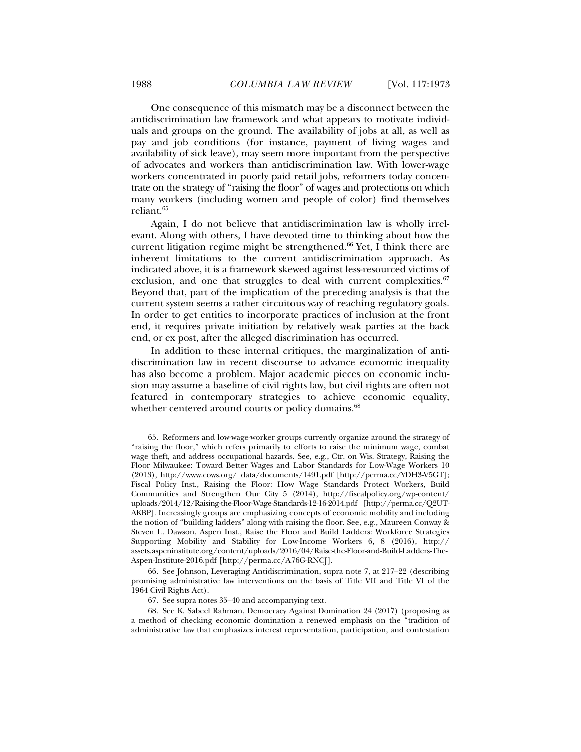One consequence of this mismatch may be a disconnect between the antidiscrimination law framework and what appears to motivate individuals and groups on the ground. The availability of jobs at all, as well as pay and job conditions (for instance, payment of living wages and availability of sick leave), may seem more important from the perspective of advocates and workers than antidiscrimination law. With lower-wage workers concentrated in poorly paid retail jobs, reformers today concentrate on the strategy of "raising the floor" of wages and protections on which many workers (including women and people of color) find themselves reliant.65

Again, I do not believe that antidiscrimination law is wholly irrelevant. Along with others, I have devoted time to thinking about how the current litigation regime might be strengthened.<sup>66</sup> Yet, I think there are inherent limitations to the current antidiscrimination approach. As indicated above, it is a framework skewed against less-resourced victims of exclusion, and one that struggles to deal with current complexities. $67$ Beyond that, part of the implication of the preceding analysis is that the current system seems a rather circuitous way of reaching regulatory goals. In order to get entities to incorporate practices of inclusion at the front end, it requires private initiation by relatively weak parties at the back end, or ex post, after the alleged discrimination has occurred.

In addition to these internal critiques, the marginalization of antidiscrimination law in recent discourse to advance economic inequality has also become a problem. Major academic pieces on economic inclusion may assume a baseline of civil rights law, but civil rights are often not featured in contemporary strategies to achieve economic equality, whether centered around courts or policy domains.<sup>68</sup>

 <sup>65.</sup> Reformers and low-wage-worker groups currently organize around the strategy of "raising the floor," which refers primarily to efforts to raise the minimum wage, combat wage theft, and address occupational hazards. See, e.g., Ctr. on Wis. Strategy, Raising the Floor Milwaukee: Toward Better Wages and Labor Standards for Low-Wage Workers 10 (2013), http://www.cows.org/\_data/documents/1491.pdf [http://perma.cc/YDH3-V5GT]; Fiscal Policy Inst., Raising the Floor: How Wage Standards Protect Workers, Build Communities and Strengthen Our City 5 (2014), http://fiscalpolicy.org/wp-content/ uploads/2014/12/Raising-the-Floor-Wage-Standards-12-16-2014.pdf [http://perma.cc/Q2UT-AKBP]. Increasingly groups are emphasizing concepts of economic mobility and including the notion of "building ladders" along with raising the floor. See, e.g., Maureen Conway & Steven L. Dawson, Aspen Inst., Raise the Floor and Build Ladders: Workforce Strategies Supporting Mobility and Stability for Low-Income Workers 6, 8 (2016), http:// assets.aspeninstitute.org/content/uploads/2016/04/Raise-the-Floor-and-Build-Ladders-The-Aspen-Institute-2016.pdf [http://perma.cc/A76G-RNCJ].

 <sup>66.</sup> See Johnson, Leveraging Antidiscrimination, supra note 7, at 217–22 (describing promising administrative law interventions on the basis of Title VII and Title VI of the 1964 Civil Rights Act).

 <sup>67.</sup> See supra notes 35–40 and accompanying text.

 <sup>68.</sup> See K. Sabeel Rahman, Democracy Against Domination 24 (2017) (proposing as a method of checking economic domination a renewed emphasis on the "tradition of administrative law that emphasizes interest representation, participation, and contestation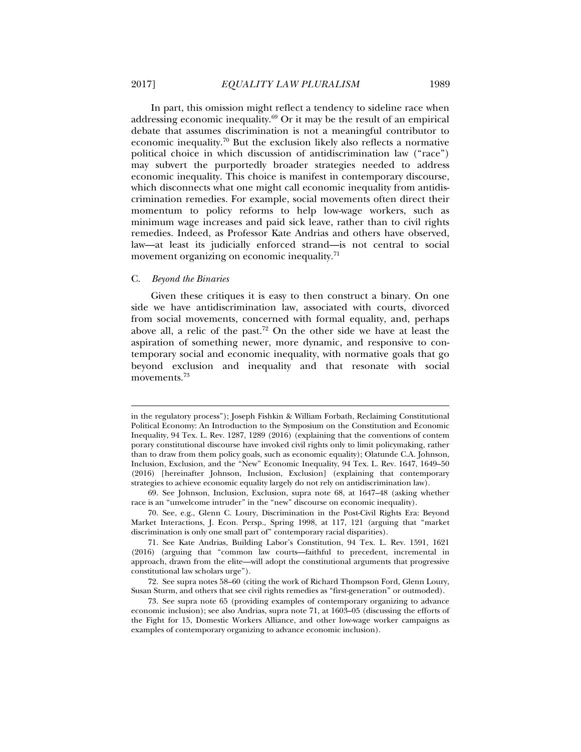In part, this omission might reflect a tendency to sideline race when addressing economic inequality.69 Or it may be the result of an empirical debate that assumes discrimination is not a meaningful contributor to economic inequality.<sup>70</sup> But the exclusion likely also reflects a normative political choice in which discussion of antidiscrimination law ("race") may subvert the purportedly broader strategies needed to address economic inequality. This choice is manifest in contemporary discourse, which disconnects what one might call economic inequality from antidiscrimination remedies. For example, social movements often direct their momentum to policy reforms to help low-wage workers, such as minimum wage increases and paid sick leave, rather than to civil rights remedies. Indeed, as Professor Kate Andrias and others have observed, law—at least its judicially enforced strand—is not central to social movement organizing on economic inequality.<sup>71</sup>

## C. *Beyond the Binaries*

l

Given these critiques it is easy to then construct a binary. On one side we have antidiscrimination law, associated with courts, divorced from social movements, concerned with formal equality, and, perhaps above all, a relic of the past.72 On the other side we have at least the aspiration of something newer, more dynamic, and responsive to contemporary social and economic inequality, with normative goals that go beyond exclusion and inequality and that resonate with social movements.73

in the regulatory process"); Joseph Fishkin & William Forbath, Reclaiming Constitutional Political Economy: An Introduction to the Symposium on the Constitution and Economic Inequality, 94 Tex. L. Rev. 1287, 1289 (2016) (explaining that the conventions of contem porary constitutional discourse have invoked civil rights only to limit policymaking, rather than to draw from them policy goals, such as economic equality); Olatunde C.A. Johnson, Inclusion, Exclusion, and the "New" Economic Inequality, 94 Tex. L. Rev. 1647, 1649–50 (2016) [hereinafter Johnson, Inclusion, Exclusion] (explaining that contemporary strategies to achieve economic equality largely do not rely on antidiscrimination law).

 <sup>69.</sup> See Johnson, Inclusion, Exclusion, supra note 68, at 1647–48 (asking whether race is an "unwelcome intruder" in the "new" discourse on economic inequality).

 <sup>70.</sup> See, e.g., Glenn C. Loury, Discrimination in the Post-Civil Rights Era: Beyond Market Interactions, J. Econ. Persp., Spring 1998, at 117, 121 (arguing that "market discrimination is only one small part of" contemporary racial disparities).

 <sup>71.</sup> See Kate Andrias, Building Labor's Constitution, 94 Tex. L. Rev. 1591, 1621 (2016) (arguing that "common law courts—faithful to precedent, incremental in approach, drawn from the elite—will adopt the constitutional arguments that progressive constitutional law scholars urge").

 <sup>72.</sup> See supra notes 58–60 (citing the work of Richard Thompson Ford, Glenn Loury, Susan Sturm, and others that see civil rights remedies as "first-generation" or outmoded).

 <sup>73.</sup> See supra note 65 (providing examples of contemporary organizing to advance economic inclusion); see also Andrias, supra note 71, at 1603–05 (discussing the efforts of the Fight for 15, Domestic Workers Alliance, and other low-wage worker campaigns as examples of contemporary organizing to advance economic inclusion).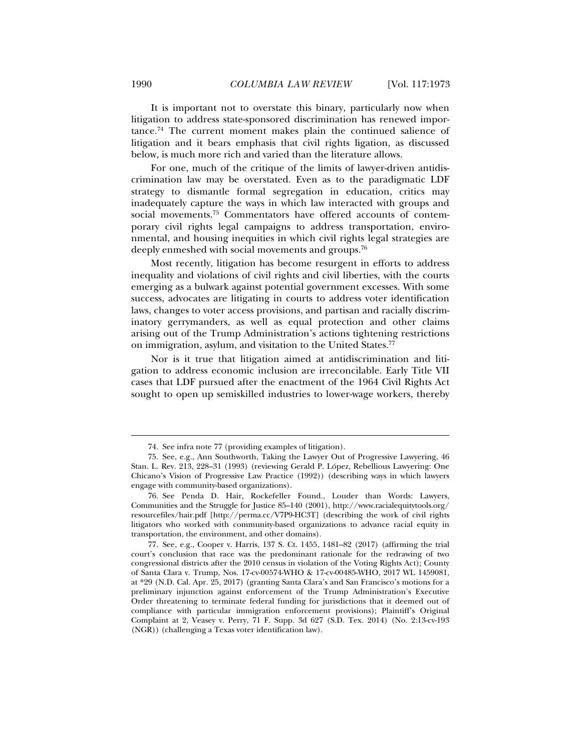It is important not to overstate this binary, particularly now when litigation to address state-sponsored discrimination has renewed importance.74 The current moment makes plain the continued salience of litigation and it bears emphasis that civil rights ligation, as discussed below, is much more rich and varied than the literature allows.

For one, much of the critique of the limits of lawyer-driven antidiscrimination law may be overstated. Even as to the paradigmatic LDF strategy to dismantle formal segregation in education, critics may inadequately capture the ways in which law interacted with groups and social movements.75 Commentators have offered accounts of contemporary civil rights legal campaigns to address transportation, environmental, and housing inequities in which civil rights legal strategies are deeply enmeshed with social movements and groups.<sup>76</sup>

Most recently, litigation has become resurgent in efforts to address inequality and violations of civil rights and civil liberties, with the courts emerging as a bulwark against potential government excesses. With some success, advocates are litigating in courts to address voter identification laws, changes to voter access provisions, and partisan and racially discriminatory gerrymanders, as well as equal protection and other claims arising out of the Trump Administration's actions tightening restrictions on immigration, asylum, and visitation to the United States.<sup>77</sup>

Nor is it true that litigation aimed at antidiscrimination and litigation to address economic inclusion are irreconcilable. Early Title VII cases that LDF pursued after the enactment of the 1964 Civil Rights Act sought to open up semiskilled industries to lower-wage workers, thereby

 <sup>74.</sup> See infra note 77 (providing examples of litigation).

 <sup>75.</sup> See, e.g., Ann Southworth, Taking the Lawyer Out of Progressive Lawyering, 46 Stan. L. Rev. 213, 228–31 (1993) (reviewing Gerald P. López, Rebellious Lawyering: One Chicano's Vision of Progressive Law Practice (1992)) (describing ways in which lawyers engage with community-based organizations).

 <sup>76.</sup> See Penda D. Hair, Rockefeller Found., Louder than Words: Lawyers, Communities and the Struggle for Justice 85–140 (2001), http://www.racialequitytools.org/ resourcefiles/hair.pdf [http://perma.cc/V7P9-HC3T] (describing the work of civil rights litigators who worked with community-based organizations to advance racial equity in transportation, the environment, and other domains).

 <sup>77.</sup> See, e.g., Cooper v. Harris, 137 S. Ct. 1455, 1481–82 (2017) (affirming the trial court's conclusion that race was the predominant rationale for the redrawing of two congressional districts after the 2010 census in violation of the Voting Rights Act); County of Santa Clara v. Trump, Nos. 17-cv-00574-WHO & 17-cv-00485-WHO, 2017 WL 1459081, at \*29 (N.D. Cal. Apr. 25, 2017) (granting Santa Clara's and San Francisco's motions for a preliminary injunction against enforcement of the Trump Administration's Executive Order threatening to terminate federal funding for jurisdictions that it deemed out of compliance with particular immigration enforcement provisions); Plaintiff's Original Complaint at 2, Veasey v. Perry, 71 F. Supp. 3d 627 (S.D. Tex. 2014) (No. 2:13-cv-193 (NGR)) (challenging a Texas voter identification law).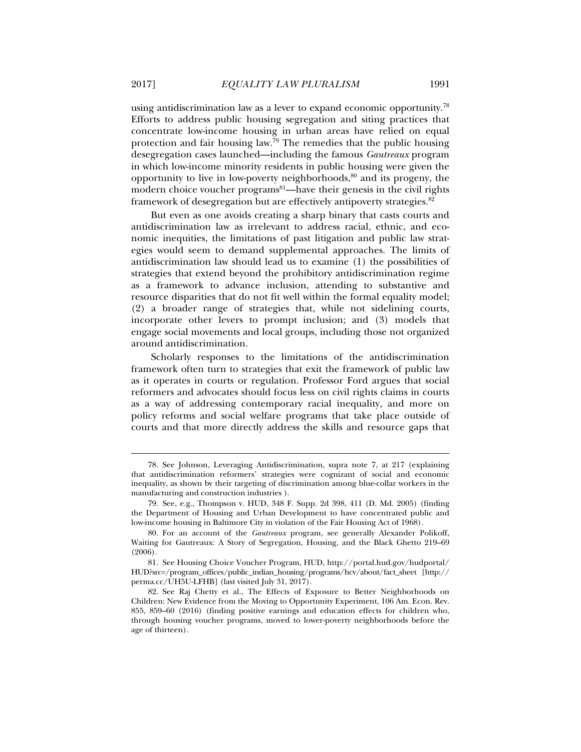using antidiscrimination law as a lever to expand economic opportunity.<sup>78</sup> Efforts to address public housing segregation and siting practices that concentrate low-income housing in urban areas have relied on equal protection and fair housing law.79 The remedies that the public housing desegregation cases launched—including the famous *Gautreaux* program in which low-income minority residents in public housing were given the opportunity to live in low-poverty neighborhoods, $80$  and its progeny, the modern choice voucher programs<sup>81</sup>—have their genesis in the civil rights framework of desegregation but are effectively antipoverty strategies.<sup>82</sup>

But even as one avoids creating a sharp binary that casts courts and antidiscrimination law as irrelevant to address racial, ethnic, and economic inequities, the limitations of past litigation and public law strategies would seem to demand supplemental approaches. The limits of antidiscrimination law should lead us to examine (1) the possibilities of strategies that extend beyond the prohibitory antidiscrimination regime as a framework to advance inclusion, attending to substantive and resource disparities that do not fit well within the formal equality model; (2) a broader range of strategies that, while not sidelining courts, incorporate other levers to prompt inclusion; and (3) models that engage social movements and local groups, including those not organized around antidiscrimination.

Scholarly responses to the limitations of the antidiscrimination framework often turn to strategies that exit the framework of public law as it operates in courts or regulation. Professor Ford argues that social reformers and advocates should focus less on civil rights claims in courts as a way of addressing contemporary racial inequality, and more on policy reforms and social welfare programs that take place outside of courts and that more directly address the skills and resource gaps that

 <sup>78.</sup> See Johnson, Leveraging Antidiscrimination, supra note 7, at 217 (explaining that antidiscrimination reformers' strategies were cognizant of social and economic inequality, as shown by their targeting of discrimination among blue-collar workers in the manufacturing and construction industries ).

 <sup>79.</sup> See, e.g., Thompson v. HUD, 348 F. Supp. 2d 398, 411 (D. Md. 2005) (finding the Department of Housing and Urban Development to have concentrated public and low-income housing in Baltimore City in violation of the Fair Housing Act of 1968).

 <sup>80.</sup> For an account of the *Gautreaux* program, see generally Alexander Polikoff, Waiting for Gautreaux: A Story of Segregation, Housing, and the Black Ghetto 219–69 (2006).

 <sup>81.</sup> See Housing Choice Voucher Program, HUD, http://portal.hud.gov/hudportal/ HUD?src=/program\_offices/public\_indian\_housing/programs/hcv/about/fact\_sheet [http:// perma.cc/UH5U-LFHB] (last visited July 31, 2017).

 <sup>82.</sup> See Raj Chetty et al., The Effects of Exposure to Better Neighborhoods on Children: New Evidence from the Moving to Opportunity Experiment, 106 Am. Econ. Rev. 855, 859–60 (2016) (finding positive earnings and education effects for children who, through housing voucher programs, moved to lower-poverty neighborhoods before the age of thirteen).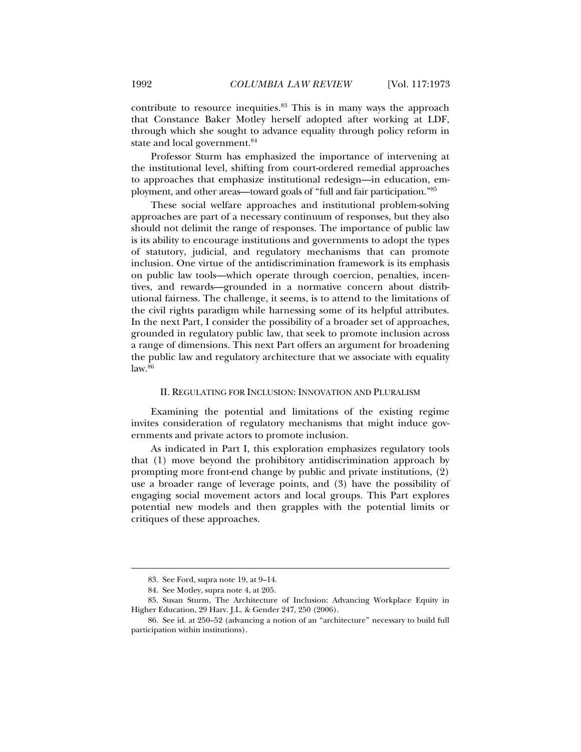contribute to resource inequities.83 This is in many ways the approach that Constance Baker Motley herself adopted after working at LDF, through which she sought to advance equality through policy reform in state and local government.<sup>84</sup>

Professor Sturm has emphasized the importance of intervening at the institutional level, shifting from court-ordered remedial approaches to approaches that emphasize institutional redesign—in education, employment, and other areas—toward goals of "full and fair participation."85

These social welfare approaches and institutional problem-solving approaches are part of a necessary continuum of responses, but they also should not delimit the range of responses. The importance of public law is its ability to encourage institutions and governments to adopt the types of statutory, judicial, and regulatory mechanisms that can promote inclusion. One virtue of the antidiscrimination framework is its emphasis on public law tools—which operate through coercion, penalties, incentives, and rewards—grounded in a normative concern about distributional fairness. The challenge, it seems, is to attend to the limitations of the civil rights paradigm while harnessing some of its helpful attributes. In the next Part, I consider the possibility of a broader set of approaches, grounded in regulatory public law, that seek to promote inclusion across a range of dimensions. This next Part offers an argument for broadening the public law and regulatory architecture that we associate with equality  $law.<sup>86</sup>$ 

## II. REGULATING FOR INCLUSION: INNOVATION AND PLURALISM

Examining the potential and limitations of the existing regime invites consideration of regulatory mechanisms that might induce governments and private actors to promote inclusion.

As indicated in Part I, this exploration emphasizes regulatory tools that (1) move beyond the prohibitory antidiscrimination approach by prompting more front-end change by public and private institutions, (2) use a broader range of leverage points, and (3) have the possibility of engaging social movement actors and local groups. This Part explores potential new models and then grapples with the potential limits or critiques of these approaches.

 <sup>83.</sup> See Ford, supra note 19, at 9–14.

 <sup>84.</sup> See Motley, supra note 4, at 205.

 <sup>85.</sup> Susan Sturm, The Architecture of Inclusion: Advancing Workplace Equity in Higher Education, 29 Harv. J.L. & Gender 247, 250 (2006).

 <sup>86.</sup> See id. at 250–52 (advancing a notion of an "architecture" necessary to build full participation within institutions).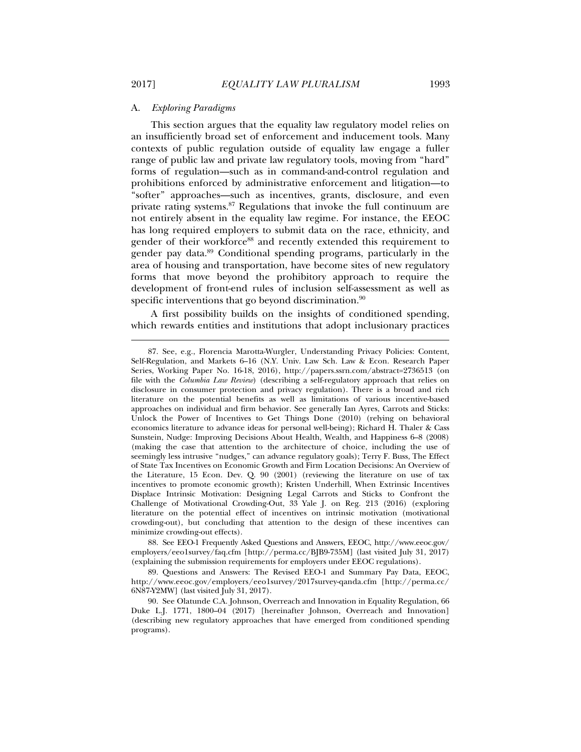### A. *Exploring Paradigms*

This section argues that the equality law regulatory model relies on an insufficiently broad set of enforcement and inducement tools. Many contexts of public regulation outside of equality law engage a fuller range of public law and private law regulatory tools, moving from "hard" forms of regulation—such as in command-and-control regulation and prohibitions enforced by administrative enforcement and litigation—to "softer" approaches—such as incentives, grants, disclosure, and even private rating systems.87 Regulations that invoke the full continuum are not entirely absent in the equality law regime. For instance, the EEOC has long required employers to submit data on the race, ethnicity, and gender of their workforce<sup>88</sup> and recently extended this requirement to gender pay data.89 Conditional spending programs, particularly in the area of housing and transportation, have become sites of new regulatory forms that move beyond the prohibitory approach to require the development of front-end rules of inclusion self-assessment as well as specific interventions that go beyond discrimination.<sup>90</sup>

A first possibility builds on the insights of conditioned spending, which rewards entities and institutions that adopt inclusionary practices

 88. See EEO-1 Frequently Asked Questions and Answers, EEOC, http://www.eeoc.gov/ employers/eeo1survey/faq.cfm [http://perma.cc/BJB9-735M] (last visited July 31, 2017) (explaining the submission requirements for employers under EEOC regulations).

 89. Questions and Answers: The Revised EEO-1 and Summary Pay Data, EEOC, http://www.eeoc.gov/employers/eeo1survey/2017survey-qanda.cfm [http://perma.cc/ 6N87-Y2MW] (last visited July 31, 2017).

 <sup>87.</sup> See, e.g., Florencia Marotta-Wurgler, Understanding Privacy Policies: Content, Self-Regulation, and Markets 6–16 (N.Y. Univ. Law Sch. Law & Econ. Research Paper Series, Working Paper No. 16-18, 2016), http://papers.ssrn.com/abstract=2736513 (on file with the *Columbia Law Review*) (describing a self-regulatory approach that relies on disclosure in consumer protection and privacy regulation). There is a broad and rich literature on the potential benefits as well as limitations of various incentive-based approaches on individual and firm behavior. See generally Ian Ayres, Carrots and Sticks: Unlock the Power of Incentives to Get Things Done (2010) (relying on behavioral economics literature to advance ideas for personal well-being); Richard H. Thaler & Cass Sunstein, Nudge: Improving Decisions About Health, Wealth, and Happiness 6–8 (2008) (making the case that attention to the architecture of choice, including the use of seemingly less intrusive "nudges," can advance regulatory goals); Terry F. Buss, The Effect of State Tax Incentives on Economic Growth and Firm Location Decisions: An Overview of the Literature, 15 Econ. Dev. Q. 90 (2001) (reviewing the literature on use of tax incentives to promote economic growth); Kristen Underhill, When Extrinsic Incentives Displace Intrinsic Motivation: Designing Legal Carrots and Sticks to Confront the Challenge of Motivational Crowding-Out, 33 Yale J. on Reg. 213 (2016) (exploring literature on the potential effect of incentives on intrinsic motivation (motivational crowding-out), but concluding that attention to the design of these incentives can minimize crowding-out effects).

 <sup>90.</sup> See Olatunde C.A. Johnson, Overreach and Innovation in Equality Regulation, 66 Duke L.J. 1771, 1800–04 (2017) [hereinafter Johnson, Overreach and Innovation] (describing new regulatory approaches that have emerged from conditioned spending programs).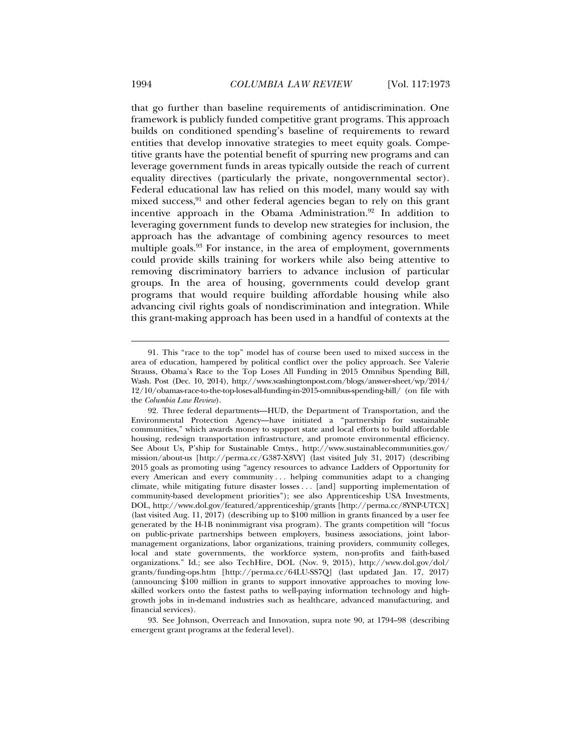that go further than baseline requirements of antidiscrimination. One framework is publicly funded competitive grant programs. This approach builds on conditioned spending's baseline of requirements to reward entities that develop innovative strategies to meet equity goals. Competitive grants have the potential benefit of spurring new programs and can leverage government funds in areas typically outside the reach of current equality directives (particularly the private, nongovernmental sector). Federal educational law has relied on this model, many would say with mixed success, $91$  and other federal agencies began to rely on this grant incentive approach in the Obama Administration.92 In addition to leveraging government funds to develop new strategies for inclusion, the approach has the advantage of combining agency resources to meet multiple goals.<sup>93</sup> For instance, in the area of employment, governments could provide skills training for workers while also being attentive to removing discriminatory barriers to advance inclusion of particular groups. In the area of housing, governments could develop grant programs that would require building affordable housing while also advancing civil rights goals of nondiscrimination and integration. While this grant-making approach has been used in a handful of contexts at the

 <sup>91.</sup> This "race to the top" model has of course been used to mixed success in the area of education, hampered by political conflict over the policy approach. See Valerie Strauss, Obama's Race to the Top Loses All Funding in 2015 Omnibus Spending Bill, Wash. Post (Dec. 10, 2014), http://www.washingtonpost.com/blogs/answer-sheet/wp/2014/ 12/10/obamas-race-to-the-top-loses-all-funding-in-2015-omnibus-spending-bill/ (on file with the *Columbia Law Review*).

 <sup>92.</sup> Three federal departments—HUD, the Department of Transportation, and the Environmental Protection Agency—have initiated a "partnership for sustainable communities," which awards money to support state and local efforts to build affordable housing, redesign transportation infrastructure, and promote environmental efficiency. See About Us, P'ship for Sustainable Cmtys., http://www.sustainablecommunities.gov/ mission/about-us [http://perma.cc/G387-X8VY] (last visited July 31, 2017) (describing 2015 goals as promoting using "agency resources to advance Ladders of Opportunity for every American and every community . . . helping communities adapt to a changing climate, while mitigating future disaster losses . . . [and] supporting implementation of community-based development priorities"); see also Apprenticeship USA Investments, DOL, http://www.dol.gov/featured/apprenticeship/grants [http://perma.cc/8YNP-UTCX] (last visited Aug. 11, 2017) (describing up to \$100 million in grants financed by a user fee generated by the H-1B nonimmigrant visa program). The grants competition will "focus on public-private partnerships between employers, business associations, joint labormanagement organizations, labor organizations, training providers, community colleges, local and state governments, the workforce system, non-profits and faith-based organizations." Id.; see also TechHire, DOL (Nov. 9, 2015), http://www.dol.gov/dol/ grants/funding-ops.htm [http://perma.cc/64LU-SS7Q] (last updated Jan. 17, 2017) (announcing \$100 million in grants to support innovative approaches to moving lowskilled workers onto the fastest paths to well-paying information technology and highgrowth jobs in in-demand industries such as healthcare, advanced manufacturing, and financial services).

 <sup>93.</sup> See Johnson, Overreach and Innovation, supra note 90, at 1794–98 (describing emergent grant programs at the federal level).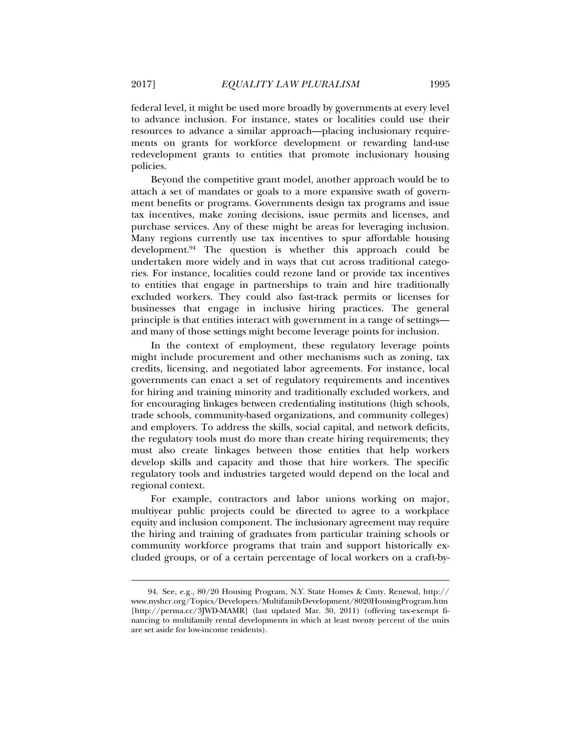federal level, it might be used more broadly by governments at every level to advance inclusion. For instance, states or localities could use their resources to advance a similar approach—placing inclusionary requirements on grants for workforce development or rewarding land-use redevelopment grants to entities that promote inclusionary housing policies.

Beyond the competitive grant model, another approach would be to attach a set of mandates or goals to a more expansive swath of government benefits or programs. Governments design tax programs and issue tax incentives, make zoning decisions, issue permits and licenses, and purchase services. Any of these might be areas for leveraging inclusion. Many regions currently use tax incentives to spur affordable housing development. $94$  The question is whether this approach could be undertaken more widely and in ways that cut across traditional categories. For instance, localities could rezone land or provide tax incentives to entities that engage in partnerships to train and hire traditionally excluded workers. They could also fast-track permits or licenses for businesses that engage in inclusive hiring practices. The general principle is that entities interact with government in a range of settings and many of those settings might become leverage points for inclusion.

In the context of employment, these regulatory leverage points might include procurement and other mechanisms such as zoning, tax credits, licensing, and negotiated labor agreements. For instance, local governments can enact a set of regulatory requirements and incentives for hiring and training minority and traditionally excluded workers, and for encouraging linkages between credentialing institutions (high schools, trade schools, community-based organizations, and community colleges) and employers. To address the skills, social capital, and network deficits, the regulatory tools must do more than create hiring requirements; they must also create linkages between those entities that help workers develop skills and capacity and those that hire workers. The specific regulatory tools and industries targeted would depend on the local and regional context.

For example, contractors and labor unions working on major, multiyear public projects could be directed to agree to a workplace equity and inclusion component. The inclusionary agreement may require the hiring and training of graduates from particular training schools or community workforce programs that train and support historically excluded groups, or of a certain percentage of local workers on a craft-by-

 <sup>94.</sup> See, e.g., 80/20 Housing Program, N.Y. State Homes & Cmty. Renewal, http:// www.nyshcr.org/Topics/Developers/MultifamilyDevelopment/8020HousingProgram.htm [http://perma.cc/3JWD-MAMR] (last updated Mar. 30, 2011) (offering tax-exempt financing to multifamily rental developments in which at least twenty percent of the units are set aside for low-income residents).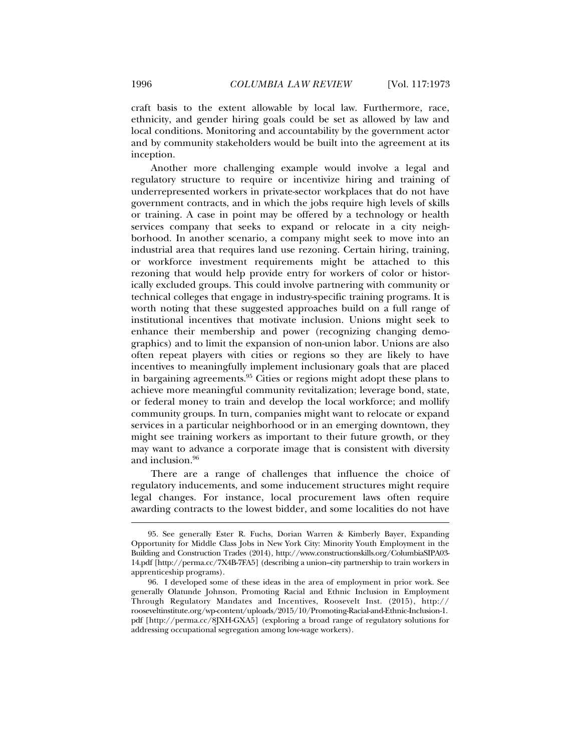craft basis to the extent allowable by local law. Furthermore, race, ethnicity, and gender hiring goals could be set as allowed by law and local conditions. Monitoring and accountability by the government actor and by community stakeholders would be built into the agreement at its inception.

Another more challenging example would involve a legal and regulatory structure to require or incentivize hiring and training of underrepresented workers in private-sector workplaces that do not have government contracts, and in which the jobs require high levels of skills or training. A case in point may be offered by a technology or health services company that seeks to expand or relocate in a city neighborhood. In another scenario, a company might seek to move into an industrial area that requires land use rezoning. Certain hiring, training, or workforce investment requirements might be attached to this rezoning that would help provide entry for workers of color or historically excluded groups. This could involve partnering with community or technical colleges that engage in industry-specific training programs. It is worth noting that these suggested approaches build on a full range of institutional incentives that motivate inclusion. Unions might seek to enhance their membership and power (recognizing changing demographics) and to limit the expansion of non-union labor. Unions are also often repeat players with cities or regions so they are likely to have incentives to meaningfully implement inclusionary goals that are placed in bargaining agreements.95 Cities or regions might adopt these plans to achieve more meaningful community revitalization; leverage bond, state, or federal money to train and develop the local workforce; and mollify community groups. In turn, companies might want to relocate or expand services in a particular neighborhood or in an emerging downtown, they might see training workers as important to their future growth, or they may want to advance a corporate image that is consistent with diversity and inclusion.96

There are a range of challenges that influence the choice of regulatory inducements, and some inducement structures might require legal changes. For instance, local procurement laws often require awarding contracts to the lowest bidder, and some localities do not have

 <sup>95.</sup> See generally Ester R. Fuchs, Dorian Warren & Kimberly Bayer, Expanding Opportunity for Middle Class Jobs in New York City: Minority Youth Employment in the Building and Construction Trades (2014), http://www.constructionskills.org/ColumbiaSIPA03- 14.pdf [http://perma.cc/7X4B-7FA5] (describing a union–city partnership to train workers in apprenticeship programs).

 <sup>96.</sup> I developed some of these ideas in the area of employment in prior work. See generally Olatunde Johnson, Promoting Racial and Ethnic Inclusion in Employment Through Regulatory Mandates and Incentives, Roosevelt Inst. (2015), http:// rooseveltinstitute.org/wp-content/uploads/2015/10/Promoting-Racial-and-Ethnic-Inclusion-1. pdf [http://perma.cc/8JXH-GXA5] (exploring a broad range of regulatory solutions for addressing occupational segregation among low-wage workers).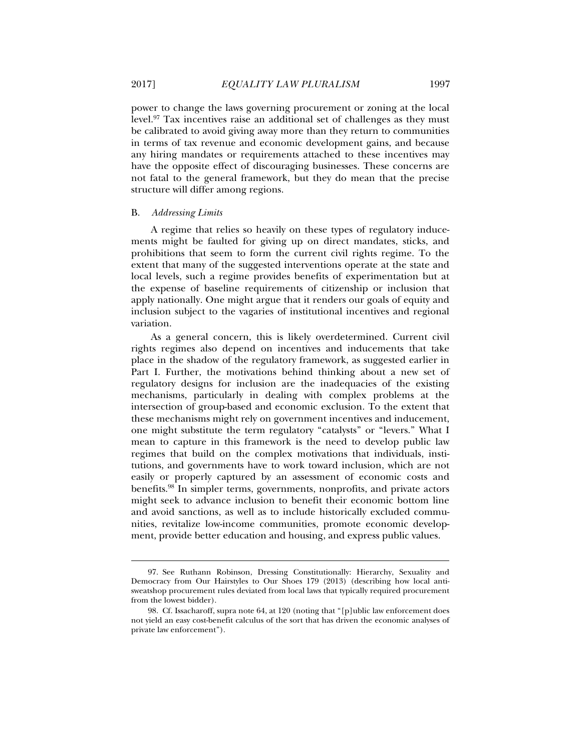power to change the laws governing procurement or zoning at the local level.97 Tax incentives raise an additional set of challenges as they must be calibrated to avoid giving away more than they return to communities in terms of tax revenue and economic development gains, and because any hiring mandates or requirements attached to these incentives may have the opposite effect of discouraging businesses. These concerns are not fatal to the general framework, but they do mean that the precise structure will differ among regions.

## B. *Addressing Limits*

A regime that relies so heavily on these types of regulatory inducements might be faulted for giving up on direct mandates, sticks, and prohibitions that seem to form the current civil rights regime. To the extent that many of the suggested interventions operate at the state and local levels, such a regime provides benefits of experimentation but at the expense of baseline requirements of citizenship or inclusion that apply nationally. One might argue that it renders our goals of equity and inclusion subject to the vagaries of institutional incentives and regional variation.

As a general concern, this is likely overdetermined. Current civil rights regimes also depend on incentives and inducements that take place in the shadow of the regulatory framework, as suggested earlier in Part I. Further, the motivations behind thinking about a new set of regulatory designs for inclusion are the inadequacies of the existing mechanisms, particularly in dealing with complex problems at the intersection of group-based and economic exclusion. To the extent that these mechanisms might rely on government incentives and inducement, one might substitute the term regulatory "catalysts" or "levers." What I mean to capture in this framework is the need to develop public law regimes that build on the complex motivations that individuals, institutions, and governments have to work toward inclusion, which are not easily or properly captured by an assessment of economic costs and benefits.98 In simpler terms, governments, nonprofits, and private actors might seek to advance inclusion to benefit their economic bottom line and avoid sanctions, as well as to include historically excluded communities, revitalize low-income communities, promote economic development, provide better education and housing, and express public values.

 <sup>97.</sup> See Ruthann Robinson, Dressing Constitutionally: Hierarchy, Sexuality and Democracy from Our Hairstyles to Our Shoes 179 (2013) (describing how local antisweatshop procurement rules deviated from local laws that typically required procurement from the lowest bidder).

 <sup>98.</sup> Cf. Issacharoff, supra note 64, at 120 (noting that "[p]ublic law enforcement does not yield an easy cost-benefit calculus of the sort that has driven the economic analyses of private law enforcement").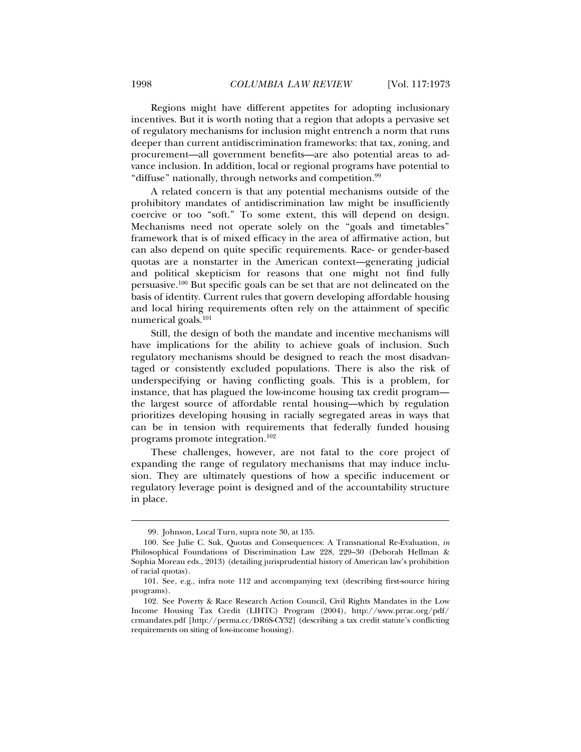Regions might have different appetites for adopting inclusionary incentives. But it is worth noting that a region that adopts a pervasive set of regulatory mechanisms for inclusion might entrench a norm that runs deeper than current antidiscrimination frameworks: that tax, zoning, and procurement—all government benefits—are also potential areas to advance inclusion. In addition, local or regional programs have potential to "diffuse" nationally, through networks and competition.<sup>99</sup>

A related concern is that any potential mechanisms outside of the prohibitory mandates of antidiscrimination law might be insufficiently coercive or too "soft." To some extent, this will depend on design. Mechanisms need not operate solely on the "goals and timetables" framework that is of mixed efficacy in the area of affirmative action, but can also depend on quite specific requirements. Race- or gender-based quotas are a nonstarter in the American context—generating judicial and political skepticism for reasons that one might not find fully persuasive.100 But specific goals can be set that are not delineated on the basis of identity. Current rules that govern developing affordable housing and local hiring requirements often rely on the attainment of specific numerical goals.101

Still, the design of both the mandate and incentive mechanisms will have implications for the ability to achieve goals of inclusion. Such regulatory mechanisms should be designed to reach the most disadvantaged or consistently excluded populations. There is also the risk of underspecifying or having conflicting goals. This is a problem, for instance, that has plagued the low-income housing tax credit program the largest source of affordable rental housing—which by regulation prioritizes developing housing in racially segregated areas in ways that can be in tension with requirements that federally funded housing programs promote integration.102

These challenges, however, are not fatal to the core project of expanding the range of regulatory mechanisms that may induce inclusion. They are ultimately questions of how a specific inducement or regulatory leverage point is designed and of the accountability structure in place.

 <sup>99.</sup> Johnson, Local Turn, supra note 30, at 135.

 <sup>100.</sup> See Julie C. Suk, Quotas and Consequences: A Transnational Re-Evaluation, *in* Philosophical Foundations of Discrimination Law 228, 229–30 (Deborah Hellman & Sophia Moreau eds., 2013) (detailing jurisprudential history of American law's prohibition of racial quotas).

 <sup>101.</sup> See, e.g., infra note 112 and accompanying text (describing first-source hiring programs).

 <sup>102.</sup> See Poverty & Race Research Action Council, Civil Rights Mandates in the Low Income Housing Tax Credit (LIHTC) Program (2004), http://www.prrac.org/pdf/ crmandates.pdf [http://perma.cc/DR6S-CY32] (describing a tax credit statute's conflicting requirements on siting of low-income housing).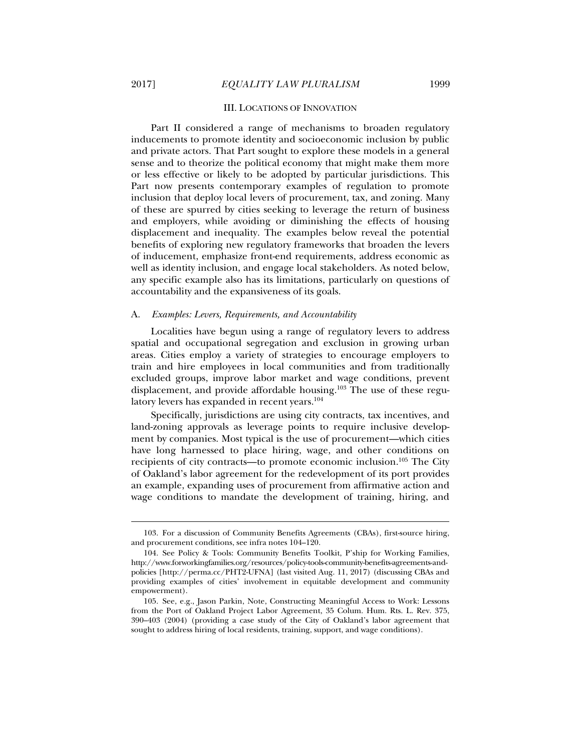l

## III. LOCATIONS OF INNOVATION

Part II considered a range of mechanisms to broaden regulatory inducements to promote identity and socioeconomic inclusion by public and private actors. That Part sought to explore these models in a general sense and to theorize the political economy that might make them more or less effective or likely to be adopted by particular jurisdictions. This Part now presents contemporary examples of regulation to promote inclusion that deploy local levers of procurement, tax, and zoning. Many of these are spurred by cities seeking to leverage the return of business and employers, while avoiding or diminishing the effects of housing displacement and inequality. The examples below reveal the potential benefits of exploring new regulatory frameworks that broaden the levers of inducement, emphasize front-end requirements, address economic as well as identity inclusion, and engage local stakeholders. As noted below, any specific example also has its limitations, particularly on questions of accountability and the expansiveness of its goals.

#### A. *Examples: Levers, Requirements, and Accountability*

Localities have begun using a range of regulatory levers to address spatial and occupational segregation and exclusion in growing urban areas. Cities employ a variety of strategies to encourage employers to train and hire employees in local communities and from traditionally excluded groups, improve labor market and wage conditions, prevent displacement, and provide affordable housing.<sup>103</sup> The use of these regulatory levers has expanded in recent years.<sup>104</sup>

Specifically, jurisdictions are using city contracts, tax incentives, and land-zoning approvals as leverage points to require inclusive development by companies. Most typical is the use of procurement—which cities have long harnessed to place hiring, wage, and other conditions on recipients of city contracts—to promote economic inclusion.105 The City of Oakland's labor agreement for the redevelopment of its port provides an example, expanding uses of procurement from affirmative action and wage conditions to mandate the development of training, hiring, and

 <sup>103.</sup> For a discussion of Community Benefits Agreements (CBAs), first-source hiring, and procurement conditions, see infra notes 104–120.

 <sup>104.</sup> See Policy & Tools: Community Benefits Toolkit, P'ship for Working Families, http://www.forworkingfamilies.org/resources/policy-tools-community-benefits-agreements-andpolicies [http://perma.cc/PHT2-UFNA] (last visited Aug. 11, 2017) (discussing CBAs and providing examples of cities' involvement in equitable development and community empowerment).

 <sup>105.</sup> See, e.g., Jason Parkin, Note, Constructing Meaningful Access to Work: Lessons from the Port of Oakland Project Labor Agreement, 35 Colum. Hum. Rts. L. Rev. 375, 390–403 (2004) (providing a case study of the City of Oakland's labor agreement that sought to address hiring of local residents, training, support, and wage conditions).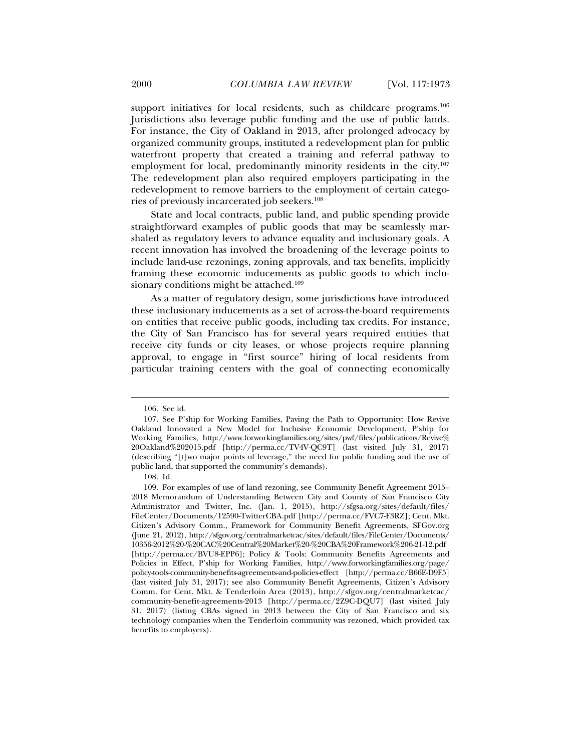support initiatives for local residents, such as childcare programs.<sup>106</sup> Jurisdictions also leverage public funding and the use of public lands. For instance, the City of Oakland in 2013, after prolonged advocacy by organized community groups, instituted a redevelopment plan for public waterfront property that created a training and referral pathway to employment for local, predominantly minority residents in the city.<sup>107</sup> The redevelopment plan also required employers participating in the redevelopment to remove barriers to the employment of certain categories of previously incarcerated job seekers.108

State and local contracts, public land, and public spending provide straightforward examples of public goods that may be seamlessly marshaled as regulatory levers to advance equality and inclusionary goals. A recent innovation has involved the broadening of the leverage points to include land-use rezonings, zoning approvals, and tax benefits, implicitly framing these economic inducements as public goods to which inclusionary conditions might be attached.<sup>109</sup>

As a matter of regulatory design, some jurisdictions have introduced these inclusionary inducements as a set of across-the-board requirements on entities that receive public goods, including tax credits. For instance, the City of San Francisco has for several years required entities that receive city funds or city leases, or whose projects require planning approval, to engage in "first source" hiring of local residents from particular training centers with the goal of connecting economically

 <sup>106.</sup> See id.

 <sup>107.</sup> See P'ship for Working Families, Paving the Path to Opportunity: How Revive Oakland Innovated a New Model for Inclusive Economic Development, P'ship for Working Families, http://www.forworkingfamilies.org/sites/pwf/files/publications/Revive% 20Oakland%202015.pdf [http://perma.cc/TV4V-QC9T] (last visited July 31, 2017) (describing "[t]wo major points of leverage," the need for public funding and the use of public land, that supported the community's demands).

 <sup>108.</sup> Id.

 <sup>109.</sup> For examples of use of land rezoning, see Community Benefit Agreement 2015– 2018 Memorandum of Understanding Between City and County of San Francisco City Administrator and Twitter, Inc. (Jan. 1, 2015), http://sfgsa.org/sites/default/files/ FileCenter/Documents/12590-TwitterCBA.pdf [http://perma.cc/FVC7-F3RZ]; Cent. Mkt. Citizen's Advisory Comm., Framework for Community Benefit Agreements, SFGov.org (June 21, 2012), http://sfgov.org/centralmarketcac/sites/default/files/FileCenter/Documents/ 10356-2012%20-%20CAC%20Central%20Market%20-%20CBA%20Framework%206-21-12.pdf [http://perma.cc/BVU8-EPP6]; Policy & Tools: Community Benefits Agreements and Policies in Effect, P'ship for Working Families, http://www.forworkingfamilies.org/page/ policy-tools-community-benefits-agreements-and-policies-effect [http://perma.cc/B66E-D9F5] (last visited July 31, 2017); see also Community Benefit Agreements, Citizen's Advisory Comm. for Cent. Mkt. & Tenderloin Area (2013), http://sfgov.org/centralmarketcac/ community-benefit-agreements-2013 [http://perma.cc/2Z9C-DQU7] (last visited July 31, 2017) (listing CBAs signed in 2013 between the City of San Francisco and six technology companies when the Tenderloin community was rezoned, which provided tax benefits to employers).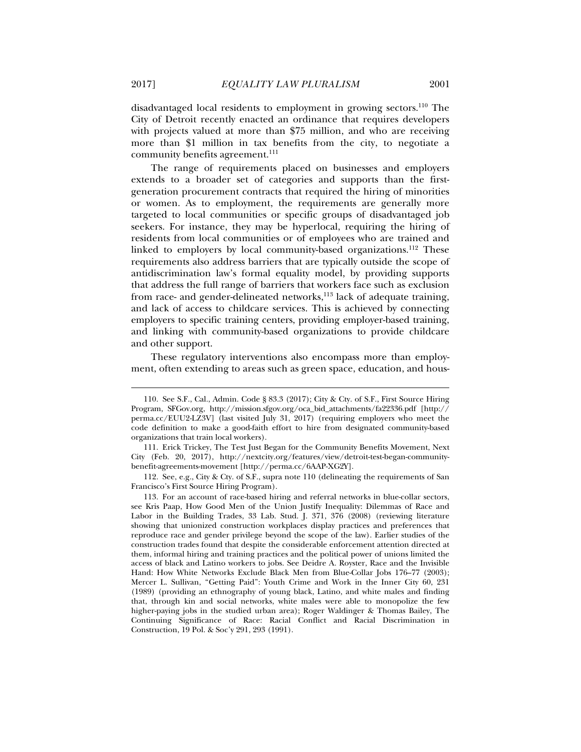disadvantaged local residents to employment in growing sectors.110 The City of Detroit recently enacted an ordinance that requires developers with projects valued at more than \$75 million, and who are receiving more than \$1 million in tax benefits from the city, to negotiate a community benefits agreement.<sup>111</sup>

The range of requirements placed on businesses and employers extends to a broader set of categories and supports than the firstgeneration procurement contracts that required the hiring of minorities or women. As to employment, the requirements are generally more targeted to local communities or specific groups of disadvantaged job seekers. For instance, they may be hyperlocal, requiring the hiring of residents from local communities or of employees who are trained and linked to employers by local community-based organizations.<sup>112</sup> These requirements also address barriers that are typically outside the scope of antidiscrimination law's formal equality model, by providing supports that address the full range of barriers that workers face such as exclusion from race- and gender-delineated networks,<sup>113</sup> lack of adequate training, and lack of access to childcare services. This is achieved by connecting employers to specific training centers, providing employer-based training, and linking with community-based organizations to provide childcare and other support.

These regulatory interventions also encompass more than employment, often extending to areas such as green space, education, and hous-

 <sup>110.</sup> See S.F., Cal., Admin. Code § 83.3 (2017); City & Cty. of S.F., First Source Hiring Program, SFGov.org, http://mission.sfgov.org/oca\_bid\_attachments/fa22336.pdf [http:// perma.cc/EUU2-LZ3V] (last visited July 31, 2017) (requiring employers who meet the code definition to make a good-faith effort to hire from designated community-based organizations that train local workers).

 <sup>111.</sup> Erick Trickey, The Test Just Began for the Community Benefits Movement, Next City (Feb. 20, 2017), http://nextcity.org/features/view/detroit-test-began-communitybenefit-agreements-movement [http://perma.cc/6AAP-XG2Y].

 <sup>112.</sup> See, e.g., City & Cty. of S.F., supra note 110 (delineating the requirements of San Francisco's First Source Hiring Program).

 <sup>113.</sup> For an account of race-based hiring and referral networks in blue-collar sectors, see Kris Paap, How Good Men of the Union Justify Inequality: Dilemmas of Race and Labor in the Building Trades, 33 Lab. Stud. J. 371, 376 (2008) (reviewing literature showing that unionized construction workplaces display practices and preferences that reproduce race and gender privilege beyond the scope of the law). Earlier studies of the construction trades found that despite the considerable enforcement attention directed at them, informal hiring and training practices and the political power of unions limited the access of black and Latino workers to jobs. See Deidre A. Royster, Race and the Invisible Hand: How White Networks Exclude Black Men from Blue-Collar Jobs 176–77 (2003); Mercer L. Sullivan, "Getting Paid": Youth Crime and Work in the Inner City 60, 231 (1989) (providing an ethnography of young black, Latino, and white males and finding that, through kin and social networks, white males were able to monopolize the few higher-paying jobs in the studied urban area); Roger Waldinger & Thomas Bailey, The Continuing Significance of Race: Racial Conflict and Racial Discrimination in Construction, 19 Pol. & Soc'y 291, 293 (1991).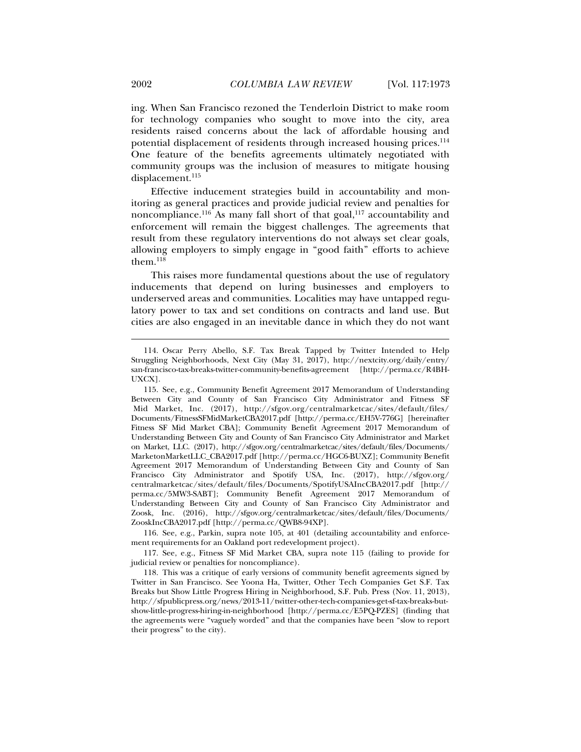ing. When San Francisco rezoned the Tenderloin District to make room for technology companies who sought to move into the city, area residents raised concerns about the lack of affordable housing and potential displacement of residents through increased housing prices.114 One feature of the benefits agreements ultimately negotiated with community groups was the inclusion of measures to mitigate housing displacement.<sup>115</sup>

Effective inducement strategies build in accountability and monitoring as general practices and provide judicial review and penalties for noncompliance.<sup>116</sup> As many fall short of that goal,<sup>117</sup> accountability and enforcement will remain the biggest challenges. The agreements that result from these regulatory interventions do not always set clear goals, allowing employers to simply engage in "good faith" efforts to achieve them. $118$ 

This raises more fundamental questions about the use of regulatory inducements that depend on luring businesses and employers to underserved areas and communities. Localities may have untapped regulatory power to tax and set conditions on contracts and land use. But cities are also engaged in an inevitable dance in which they do not want

 116. See, e.g., Parkin, supra note 105, at 401 (detailing accountability and enforcement requirements for an Oakland port redevelopment project).

 117. See, e.g., Fitness SF Mid Market CBA, supra note 115 (failing to provide for judicial review or penalties for noncompliance).

 <sup>114.</sup> Oscar Perry Abello, S.F. Tax Break Tapped by Twitter Intended to Help Struggling Neighborhoods, Next City (May 31, 2017), http://nextcity.org/daily/entry/ san-francisco-tax-breaks-twitter-community-benefits-agreement [http://perma.cc/R4BH-UXCX].

 <sup>115.</sup> See, e.g., Community Benefit Agreement 2017 Memorandum of Understanding Between City and County of San Francisco City Administrator and Fitness SF Mid Market, Inc. (2017), http://sfgov.org/centralmarketcac/sites/default/files/ Documents/FitnessSFMidMarketCBA2017.pdf [http://perma.cc/EH5V-776G] [hereinafter Fitness SF Mid Market CBA]; Community Benefit Agreement 2017 Memorandum of Understanding Between City and County of San Francisco City Administrator and Market on Market, LLC. (2017), http://sfgov.org/centralmarketcac/sites/default/files/Documents/ MarketonMarketLLC\_CBA2017.pdf [http://perma.cc/HGC6-BUXZ]; Community Benefit Agreement 2017 Memorandum of Understanding Between City and County of San Francisco City Administrator and Spotify USA, Inc. (2017), http://sfgov.org/ centralmarketcac/sites/default/files/Documents/SpotifyUSAIncCBA2017.pdf [http:// perma.cc/5MW3-SABT]; Community Benefit Agreement 2017 Memorandum of Understanding Between City and County of San Francisco City Administrator and Zoosk, Inc. (2016), http://sfgov.org/centralmarketcac/sites/default/files/Documents/ ZooskIncCBA2017.pdf [http://perma.cc/QWB8-94XP].

 <sup>118.</sup> This was a critique of early versions of community benefit agreements signed by Twitter in San Francisco. See Yoona Ha, Twitter, Other Tech Companies Get S.F. Tax Breaks but Show Little Progress Hiring in Neighborhood, S.F. Pub. Press (Nov. 11, 2013), http://sfpublicpress.org/news/2013-11/twitter-other-tech-companies-get-sf-tax-breaks-butshow-little-progress-hiring-in-neighborhood [http://perma.cc/E5PQ-PZES] (finding that the agreements were "vaguely worded" and that the companies have been "slow to report their progress" to the city).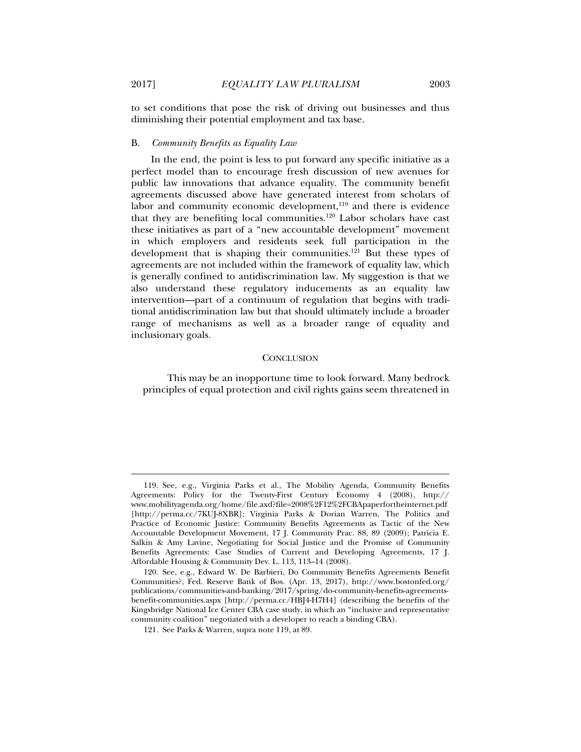to set conditions that pose the risk of driving out businesses and thus diminishing their potential employment and tax base.

## B. *Community Benefits as Equality Law*

In the end, the point is less to put forward any specific initiative as a perfect model than to encourage fresh discussion of new avenues for public law innovations that advance equality. The community benefit agreements discussed above have generated interest from scholars of labor and community economic development,<sup>119</sup> and there is evidence that they are benefiting local communities.<sup>120</sup> Labor scholars have cast these initiatives as part of a "new accountable development" movement in which employers and residents seek full participation in the development that is shaping their communities.<sup>121</sup> But these types of agreements are not included within the framework of equality law, which is generally confined to antidiscrimination law. My suggestion is that we also understand these regulatory inducements as an equality law intervention—part of a continuum of regulation that begins with traditional antidiscrimination law but that should ultimately include a broader range of mechanisms as well as a broader range of equality and inclusionary goals.

#### **CONCLUSION**

This may be an inopportune time to look forward. Many bedrock principles of equal protection and civil rights gains seem threatened in

 <sup>119.</sup> See, e.g., Virginia Parks et al., The Mobility Agenda, Community Benefits Agreements: Policy for the Twenty-First Century Economy 4 (2008), http:// www.mobilityagenda.org/home/file.axd?file=2008%2F12%2FCBApaperfortheinternet.pdf [http://perma.cc/7KUJ-8XBR]; Virginia Parks & Dorian Warren, The Politics and Practice of Economic Justice: Community Benefits Agreements as Tactic of the New Accountable Development Movement, 17 J. Community Prac. 88, 89 (2009); Patricia E. Salkin & Amy Lavine, Negotiating for Social Justice and the Promise of Community Benefits Agreements: Case Studies of Current and Developing Agreements, 17 J. Affordable Housing & Community Dev. L. 113, 113–14 (2008).

 <sup>120.</sup> See, e.g., Edward W. De Barbieri, Do Community Benefits Agreements Benefit Communities?, Fed. Reserve Bank of Bos. (Apr. 13, 2017), http://www.bostonfed.org/ publications/communities-and-banking/2017/spring/do-community-benefits-agreementsbenefit-communities.aspx [http://perma.cc/HBJ4-H7H4] (describing the benefits of the Kingsbridge National Ice Center CBA case study, in which an "inclusive and representative community coalition" negotiated with a developer to reach a binding CBA).

 <sup>121.</sup> See Parks & Warren, supra note 119, at 89.